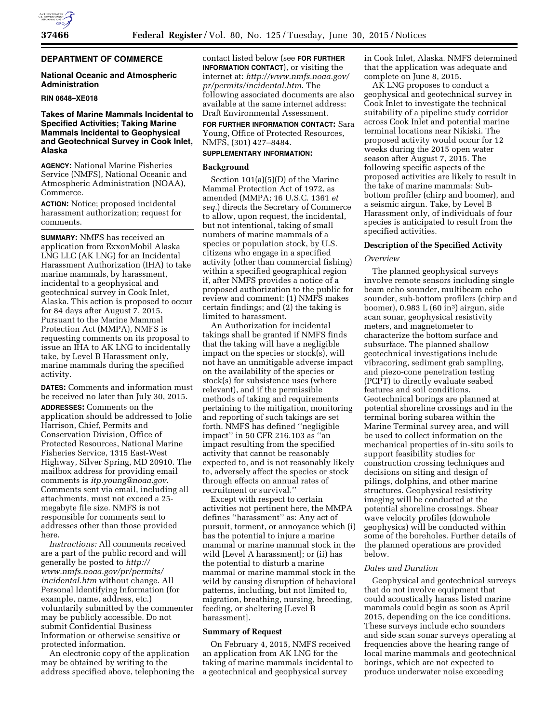## **DEPARTMENT OF COMMERCE**

## **National Oceanic and Atmospheric Administration**

#### **RIN 0648–XE018**

## **Takes of Marine Mammals Incidental to Specified Activities; Taking Marine Mammals Incidental to Geophysical and Geotechnical Survey in Cook Inlet, Alaska**

**AGENCY:** National Marine Fisheries Service (NMFS), National Oceanic and Atmospheric Administration (NOAA), Commerce.

**ACTION:** Notice; proposed incidental harassment authorization; request for comments.

**SUMMARY:** NMFS has received an application from ExxonMobil Alaska LNG LLC (AK LNG) for an Incidental Harassment Authorization (IHA) to take marine mammals, by harassment, incidental to a geophysical and geotechnical survey in Cook Inlet, Alaska. This action is proposed to occur for 84 days after August 7, 2015. Pursuant to the Marine Mammal Protection Act (MMPA), NMFS is requesting comments on its proposal to issue an IHA to AK LNG to incidentally take, by Level B Harassment only, marine mammals during the specified activity.

**DATES:** Comments and information must be received no later than July 30, 2015. **ADDRESSES:** Comments on the application should be addressed to Jolie Harrison, Chief, Permits and Conservation Division, Office of Protected Resources, National Marine Fisheries Service, 1315 East-West Highway, Silver Spring, MD 20910. The mailbox address for providing email comments is *[itp.young@noaa.gov](mailto:itp.young@noaa.gov)*. Comments sent via email, including all attachments, must not exceed a 25 megabyte file size. NMFS is not responsible for comments sent to addresses other than those provided here.

*Instructions:* All comments received are a part of the public record and will generally be posted to *[http://](http://www.nmfs.noaa.gov/pr/permits/incidental.htm) [www.nmfs.noaa.gov/pr/permits/](http://www.nmfs.noaa.gov/pr/permits/incidental.htm) [incidental.htm](http://www.nmfs.noaa.gov/pr/permits/incidental.htm)* without change. All Personal Identifying Information (for example, name, address, etc.) voluntarily submitted by the commenter may be publicly accessible. Do not submit Confidential Business Information or otherwise sensitive or protected information.

An electronic copy of the application may be obtained by writing to the address specified above, telephoning the

contact listed below (see **FOR FURTHER INFORMATION CONTACT**), or visiting the internet at: *[http://www.nmfs.noaa.gov/](http://www.nmfs.noaa.gov/pr/permits/incidental.htm) [pr/permits/incidental.htm](http://www.nmfs.noaa.gov/pr/permits/incidental.htm)*. The following associated documents are also available at the same internet address: Draft Environmental Assessment.

**FOR FURTHER INFORMATION CONTACT:** Sara Young, Office of Protected Resources, NMFS, (301) 427–8484.

#### **SUPPLEMENTARY INFORMATION:**

#### **Background**

Section 101(a)(5)(D) of the Marine Mammal Protection Act of 1972, as amended (MMPA; 16 U.S.C. 1361 *et seq.*) directs the Secretary of Commerce to allow, upon request, the incidental, but not intentional, taking of small numbers of marine mammals of a species or population stock, by U.S. citizens who engage in a specified activity (other than commercial fishing) within a specified geographical region if, after NMFS provides a notice of a proposed authorization to the public for review and comment: (1) NMFS makes certain findings; and (2) the taking is limited to harassment.

An Authorization for incidental takings shall be granted if NMFS finds that the taking will have a negligible impact on the species or stock(s), will not have an unmitigable adverse impact on the availability of the species or stock(s) for subsistence uses (where relevant), and if the permissible methods of taking and requirements pertaining to the mitigation, monitoring and reporting of such takings are set forth. NMFS has defined ''negligible impact'' in 50 CFR 216.103 as ''an impact resulting from the specified activity that cannot be reasonably expected to, and is not reasonably likely to, adversely affect the species or stock through effects on annual rates of recruitment or survival.''

Except with respect to certain activities not pertinent here, the MMPA defines ''harassment'' as: Any act of pursuit, torment, or annoyance which (i) has the potential to injure a marine mammal or marine mammal stock in the wild [Level A harassment]; or (ii) has the potential to disturb a marine mammal or marine mammal stock in the wild by causing disruption of behavioral patterns, including, but not limited to, migration, breathing, nursing, breeding, feeding, or sheltering [Level B harassment].

## **Summary of Request**

On February 4, 2015, NMFS received an application from AK LNG for the taking of marine mammals incidental to a geotechnical and geophysical survey

in Cook Inlet, Alaska. NMFS determined that the application was adequate and complete on June 8, 2015.

AK LNG proposes to conduct a geophysical and geotechnical survey in Cook Inlet to investigate the technical suitability of a pipeline study corridor across Cook Inlet and potential marine terminal locations near Nikiski. The proposed activity would occur for 12 weeks during the 2015 open water season after August 7, 2015. The following specific aspects of the proposed activities are likely to result in the take of marine mammals: Subbottom profiler (chirp and boomer), and a seismic airgun. Take, by Level B Harassment only, of individuals of four species is anticipated to result from the specified activities.

### **Description of the Specified Activity**

#### *Overview*

The planned geophysical surveys involve remote sensors including single beam echo sounder, multibeam echo sounder, sub-bottom profilers (chirp and boomer),  $0.983 L(60 in^3)$  airgun, side scan sonar, geophysical resistivity meters, and magnetometer to characterize the bottom surface and subsurface. The planned shallow geotechnical investigations include vibracoring, sediment grab sampling, and piezo-cone penetration testing (PCPT) to directly evaluate seabed features and soil conditions. Geotechnical borings are planned at potential shoreline crossings and in the terminal boring subarea within the Marine Terminal survey area, and will be used to collect information on the mechanical properties of in-situ soils to support feasibility studies for construction crossing techniques and decisions on siting and design of pilings, dolphins, and other marine structures. Geophysical resistivity imaging will be conducted at the potential shoreline crossings. Shear wave velocity profiles (downhole geophysics) will be conducted within some of the boreholes. Further details of the planned operations are provided below.

## *Dates and Duration*

Geophysical and geotechnical surveys that do not involve equipment that could acoustically harass listed marine mammals could begin as soon as April 2015, depending on the ice conditions. These surveys include echo sounders and side scan sonar surveys operating at frequencies above the hearing range of local marine mammals and geotechnical borings, which are not expected to produce underwater noise exceeding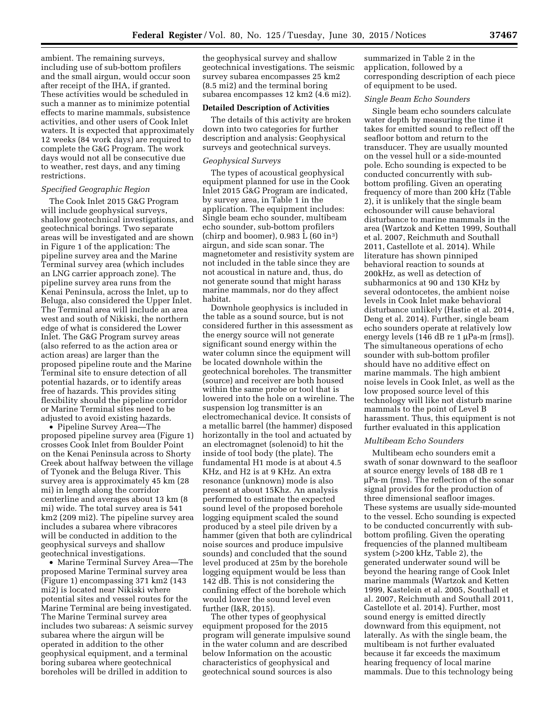ambient. The remaining surveys, including use of sub-bottom profilers and the small airgun, would occur soon after receipt of the IHA, if granted. These activities would be scheduled in such a manner as to minimize potential effects to marine mammals, subsistence activities, and other users of Cook Inlet waters. It is expected that approximately 12 weeks (84 work days) are required to complete the G&G Program. The work days would not all be consecutive due to weather, rest days, and any timing restrictions.

## *Specified Geographic Region*

The Cook Inlet 2015 G&G Program will include geophysical surveys, shallow geotechnical investigations, and geotechnical borings. Two separate areas will be investigated and are shown in Figure 1 of the application: The pipeline survey area and the Marine Terminal survey area (which includes an LNG carrier approach zone). The pipeline survey area runs from the Kenai Peninsula, across the Inlet, up to Beluga, also considered the Upper Inlet. The Terminal area will include an area west and south of Nikiski, the northern edge of what is considered the Lower Inlet. The G&G Program survey areas (also referred to as the action area or action areas) are larger than the proposed pipeline route and the Marine Terminal site to ensure detection of all potential hazards, or to identify areas free of hazards. This provides siting flexibility should the pipeline corridor or Marine Terminal sites need to be adjusted to avoid existing hazards.

• Pipeline Survey Area—The proposed pipeline survey area (Figure 1) crosses Cook Inlet from Boulder Point on the Kenai Peninsula across to Shorty Creek about halfway between the village of Tyonek and the Beluga River. This survey area is approximately 45 km (28 mi) in length along the corridor centerline and averages about 13 km (8 mi) wide. The total survey area is 541 km2 (209 mi2). The pipeline survey area includes a subarea where vibracores will be conducted in addition to the geophysical surveys and shallow geotechnical investigations.

• Marine Terminal Survey Area—The proposed Marine Terminal survey area (Figure 1) encompassing 371 km2 (143 mi2) is located near Nikiski where potential sites and vessel routes for the Marine Terminal are being investigated. The Marine Terminal survey area includes two subareas: A seismic survey subarea where the airgun will be operated in addition to the other geophysical equipment, and a terminal boring subarea where geotechnical boreholes will be drilled in addition to

the geophysical survey and shallow geotechnical investigations. The seismic survey subarea encompasses 25 km2 (8.5 mi2) and the terminal boring subarea encompasses 12 km2 (4.6 mi2).

#### **Detailed Description of Activities**

The details of this activity are broken down into two categories for further description and analysis: Geophysical surveys and geotechnical surveys.

### *Geophysical Surveys*

The types of acoustical geophysical equipment planned for use in the Cook Inlet 2015 G&G Program are indicated, by survey area, in Table 1 in the application. The equipment includes: Single beam echo sounder, multibeam echo sounder, sub-bottom profilers (chirp and boomer),  $0.983 L(60 in^3)$ airgun, and side scan sonar. The magnetometer and resistivity system are not included in the table since they are not acoustical in nature and, thus, do not generate sound that might harass marine mammals, nor do they affect habitat.

Downhole geophysics is included in the table as a sound source, but is not considered further in this assessment as the energy source will not generate significant sound energy within the water column since the equipment will be located downhole within the geotechnical boreholes. The transmitter (source) and receiver are both housed within the same probe or tool that is lowered into the hole on a wireline. The suspension log transmitter is an electromechanical device. It consists of a metallic barrel (the hammer) disposed horizontally in the tool and actuated by an electromagnet (solenoid) to hit the inside of tool body (the plate). The fundamental H1 mode is at about 4.5 KHz, and H2 is at 9 KHz. An extra resonance (unknown) mode is also present at about 15Khz. An analysis performed to estimate the expected sound level of the proposed borehole logging equipment scaled the sound produced by a steel pile driven by a hammer (given that both are cylindrical noise sources and produce impulsive sounds) and concluded that the sound level produced at 25m by the borehole logging equipment would be less than 142 dB. This is not considering the confining effect of the borehole which would lower the sound level even further (I&R, 2015).

The other types of geophysical equipment proposed for the 2015 program will generate impulsive sound in the water column and are described below Information on the acoustic characteristics of geophysical and geotechnical sound sources is also

summarized in Table 2 in the application, followed by a corresponding description of each piece of equipment to be used.

## *Single Beam Echo Sounders*

Single beam echo sounders calculate water depth by measuring the time it takes for emitted sound to reflect off the seafloor bottom and return to the transducer. They are usually mounted on the vessel hull or a side-mounted pole. Echo sounding is expected to be conducted concurrently with subbottom profiling. Given an operating frequency of more than 200 kHz (Table 2), it is unlikely that the single beam echosounder will cause behavioral disturbance to marine mammals in the area (Wartzok and Ketten 1999, Southall et al. 2007, Reichmuth and Southall 2011, Castellote et al. 2014). While literature has shown pinniped behavioral reaction to sounds at 200kHz, as well as detection of subharmonics at 90 and 130 KHz by several odontocetes, the ambient noise levels in Cook Inlet make behavioral disturbance unlikely (Hastie et al. 2014, Deng et al. 2014). Further, single beam echo sounders operate at relatively low energy levels  $(146 dB)$  re 1 µPa-m [rms]). The simultaneous operations of echo sounder with sub-bottom profiler should have no additive effect on marine mammals. The high ambient noise levels in Cook Inlet, as well as the low proposed source level of this technology will like not disturb marine mammals to the point of Level B harassment. Thus, this equipment is not further evaluated in this application

#### *Multibeam Echo Sounders*

Multibeam echo sounders emit a swath of sonar downward to the seafloor at source energy levels of 188 dB re 1  $\mu$ Pa-m (rms). The reflection of the sonar signal provides for the production of three dimensional seafloor images. These systems are usually side-mounted to the vessel. Echo sounding is expected to be conducted concurrently with subbottom profiling. Given the operating frequencies of the planned multibeam system (>200 kHz, Table 2), the generated underwater sound will be beyond the hearing range of Cook Inlet marine mammals (Wartzok and Ketten 1999, Kastelein et al. 2005, Southall et al. 2007, Reichmuth and Southall 2011, Castellote et al. 2014). Further, most sound energy is emitted directly downward from this equipment, not laterally. As with the single beam, the multibeam is not further evaluated because it far exceeds the maximum hearing frequency of local marine mammals. Due to this technology being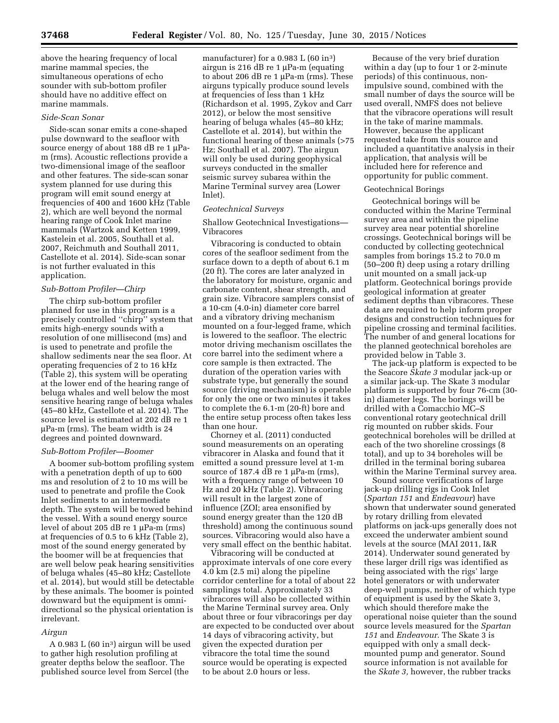above the hearing frequency of local marine mammal species, the simultaneous operations of echo sounder with sub-bottom profiler should have no additive effect on marine mammals.

## *Side-Scan Sonar*

Side-scan sonar emits a cone-shaped pulse downward to the seafloor with source energy of about 188 dB re 1  $\mu$ Pam (rms). Acoustic reflections provide a two-dimensional image of the seafloor and other features. The side-scan sonar system planned for use during this program will emit sound energy at frequencies of 400 and 1600 kHz (Table 2), which are well beyond the normal hearing range of Cook Inlet marine mammals (Wartzok and Ketten 1999, Kastelein et al. 2005, Southall et al. 2007, Reichmuth and Southall 2011, Castellote et al. 2014). Side-scan sonar is not further evaluated in this application.

## *Sub-Bottom Profiler—Chirp*

The chirp sub-bottom profiler planned for use in this program is a precisely controlled ''chirp'' system that emits high-energy sounds with a resolution of one millisecond (ms) and is used to penetrate and profile the shallow sediments near the sea floor. At operating frequencies of 2 to 16 kHz (Table 2), this system will be operating at the lower end of the hearing range of beluga whales and well below the most sensitive hearing range of beluga whales (45–80 kHz, Castellote et al. 2014). The source level is estimated at 202 dB re 1  $\mu$ Pa-m (rms). The beam width is 24 degrees and pointed downward.

#### *Sub-Bottom Profiler—Boomer*

A boomer sub-bottom profiling system with a penetration depth of up to 600 ms and resolution of 2 to 10 ms will be used to penetrate and profile the Cook Inlet sediments to an intermediate depth. The system will be towed behind the vessel. With a sound energy source level of about 205 dB re  $1 \mu$ Pa-m (rms) at frequencies of 0.5 to 6 kHz (Table 2), most of the sound energy generated by the boomer will be at frequencies that are well below peak hearing sensitivities of beluga whales (45–80 kHz; Castellote et al. 2014), but would still be detectable by these animals. The boomer is pointed downward but the equipment is omnidirectional so the physical orientation is irrelevant.

### *Airgun*

A  $0.983 L (60 in<sup>3</sup>)$  airgun will be used to gather high resolution profiling at greater depths below the seafloor. The published source level from Sercel (the

manufacturer) for a  $0.983$  L  $(60 \text{ in}^3)$ airgun is 216 dB re 1  $\mu$ Pa-m (equating to about 206 dB re 1  $\mu$ Pa-m (rms). These airguns typically produce sound levels at frequencies of less than 1 kHz (Richardson et al. 1995, Zykov and Carr 2012), or below the most sensitive hearing of beluga whales (45–80 kHz; Castellote et al. 2014), but within the functional hearing of these animals (>75 Hz; Southall et al. 2007). The airgun will only be used during geophysical surveys conducted in the smaller seismic survey subarea within the Marine Terminal survey area (Lower Inlet).

## *Geotechnical Surveys*

Shallow Geotechnical Investigations— Vibracores

Vibracoring is conducted to obtain cores of the seafloor sediment from the surface down to a depth of about 6.1 m (20 ft). The cores are later analyzed in the laboratory for moisture, organic and carbonate content, shear strength, and grain size. Vibracore samplers consist of a 10-cm (4.0-in) diameter core barrel and a vibratory driving mechanism mounted on a four-legged frame, which is lowered to the seafloor. The electric motor driving mechanism oscillates the core barrel into the sediment where a core sample is then extracted. The duration of the operation varies with substrate type, but generally the sound source (driving mechanism) is operable for only the one or two minutes it takes to complete the 6.1-m (20-ft) bore and the entire setup process often takes less than one hour.

Chorney et al. (2011) conducted sound measurements on an operating vibracorer in Alaska and found that it emitted a sound pressure level at 1-m source of  $187.4$  dB re  $1 \mu$ Pa-m (rms), with a frequency range of between 10 Hz and 20 kHz (Table 2). Vibracoring will result in the largest zone of influence (ZOI; area ensonified by sound energy greater than the 120 dB threshold) among the continuous sound sources. Vibracoring would also have a very small effect on the benthic habitat.

Vibracoring will be conducted at approximate intervals of one core every 4.0 km (2.5 mi) along the pipeline corridor centerline for a total of about 22 samplings total. Approximately 33 vibracores will also be collected within the Marine Terminal survey area. Only about three or four vibracorings per day are expected to be conducted over about 14 days of vibracoring activity, but given the expected duration per vibracore the total time the sound source would be operating is expected to be about 2.0 hours or less.

Because of the very brief duration within a day (up to four 1 or 2-minute periods) of this continuous, nonimpulsive sound, combined with the small number of days the source will be used overall, NMFS does not believe that the vibracore operations will result in the take of marine mammals. However, because the applicant requested take from this source and included a quantitative analysis in their application, that analysis will be included here for reference and opportunity for public comment.

### Geotechnical Borings

Geotechnical borings will be conducted within the Marine Terminal survey area and within the pipeline survey area near potential shoreline crossings. Geotechnical borings will be conducted by collecting geotechnical samples from borings 15.2 to 70.0 m (50–200 ft) deep using a rotary drilling unit mounted on a small jack-up platform. Geotechnical borings provide geological information at greater sediment depths than vibracores. These data are required to help inform proper designs and construction techniques for pipeline crossing and terminal facilities. The number of and general locations for the planned geotechnical boreholes are provided below in Table 3.

The jack-up platform is expected to be the Seacore *Skate 3* modular jack-up or a similar jack-up. The Skate 3 modular platform is supported by four 76-cm (30 in) diameter legs. The borings will be drilled with a Comacchio MC–S conventional rotary geotechnical drill rig mounted on rubber skids. Four geotechnical boreholes will be drilled at each of the two shoreline crossings (8 total), and up to 34 boreholes will be drilled in the terminal boring subarea within the Marine Terminal survey area.

Sound source verifications of large jack-up drilling rigs in Cook Inlet (*Spartan 151* and *Endeavour*) have shown that underwater sound generated by rotary drilling from elevated platforms on jack-ups generally does not exceed the underwater ambient sound levels at the source (MAI 2011, I&R 2014). Underwater sound generated by these larger drill rigs was identified as being associated with the rigs' large hotel generators or with underwater deep-well pumps, neither of which type of equipment is used by the Skate 3, which should therefore make the operational noise quieter than the sound source levels measured for the *Spartan 151* and *Endeavour*. The Skate 3 is equipped with only a small deckmounted pump and generator. Sound source information is not available for the *Skate 3,* however, the rubber tracks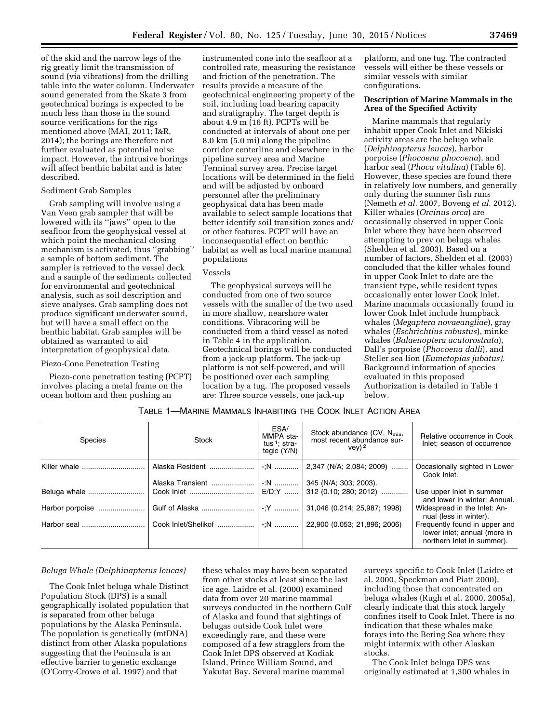of the skid and the narrow legs of the rig greatly limit the transmission of sound (via vibrations) from the drilling table into the water column. Underwater sound generated from the Skate 3 from geotechnical borings is expected to be much less than those in the sound source verifications for the rigs mentioned above (MAI, 2011; I&R, 2014); the borings are therefore not further evaluated as potential noise impact. However, the intrusive borings will affect benthic habitat and is later described.

## Sediment Grab Samples

Grab sampling will involve using a Van Veen grab sampler that will be lowered with its ''jaws'' open to the seafloor from the geophysical vessel at which point the mechanical closing mechanism is activated, thus ''grabbing'' a sample of bottom sediment. The sampler is retrieved to the vessel deck and a sample of the sediments collected for environmental and geotechnical analysis, such as soil description and sieve analyses. Grab sampling does not produce significant underwater sound, but will have a small effect on the benthic habitat. Grab samples will be obtained as warranted to aid interpretation of geophysical data.

### Piezo-Cone Penetration Testing

Piezo-cone penetration testing (PCPT) involves placing a metal frame on the ocean bottom and then pushing an

instrumented cone into the seafloor at a controlled rate, measuring the resistance and friction of the penetration. The results provide a measure of the geotechnical engineering property of the soil, including load bearing capacity and stratigraphy. The target depth is about 4.9 m (16 ft). PCPTs will be conducted at intervals of about one per 8.0 km (5.0 mi) along the pipeline corridor centerline and elsewhere in the pipeline survey area and Marine Terminal survey area. Precise target locations will be determined in the field and will be adjusted by onboard personnel after the preliminary geophysical data has been made available to select sample locations that better identify soil transition zones and/ or other features. PCPT will have an inconsequential effect on benthic habitat as well as local marine mammal populations

### Vessels

The geophysical surveys will be conducted from one of two source vessels with the smaller of the two used in more shallow, nearshore water conditions. Vibracoring will be conducted from a third vessel as noted in Table 4 in the application. Geotechnical borings will be conducted from a jack-up platform. The jack-up platform is not self-powered, and will be positioned over each sampling location by a tug. The proposed vessels are: Three source vessels, one jack-up

platform, and one tug. The contracted vessels will either be these vessels or similar vessels with similar configurations.

## **Description of Marine Mammals in the Area of the Specified Activity**

Marine mammals that regularly inhabit upper Cook Inlet and Nikiski activity areas are the beluga whale (*Delphinapterus leucas*), harbor porpoise (*Phocoena phocoena*), and harbor seal (*Phoca vitulina*) (Table 6). However, these species are found there in relatively low numbers, and generally only during the summer fish runs (Nemeth *et al.* 2007, Boveng *et al.* 2012). Killer whales (*Orcinus orca*) are occasionally observed in upper Cook Inlet where they have been observed attempting to prey on beluga whales (Shelden et al. 2003). Based on a number of factors, Shelden et al. (2003) concluded that the killer whales found in upper Cook Inlet to date are the transient type, while resident types occasionally enter lower Cook Inlet. Marine mammals occasionally found in lower Cook Inlet include humpback whales (*Megaptera novaeangliae*), gray whales (*Eschrichtius robustus*), minke whales (*Balaenoptera acutorostrata*), Dall's porpoise (*Phocoena dalli*), and Steller sea lion (*Eumetopias jubatus).*  Background information of species evaluated in this proposed Authorization is detailed in Table 1 below.

|  |  |  | TABLE 1-MARINE MAMMALS INHABITING THE COOK INLET ACTION AREA |
|--|--|--|--------------------------------------------------------------|
|--|--|--|--------------------------------------------------------------|

| <b>Species</b>  | <b>Stock</b>     | ESA/<br>MMPA sta-<br>tus <sup>1</sup> : stra-<br>tegic (Y/N) | Stock abundance (CV, N <sub>min</sub> ,<br>most recent abundance sur-<br>$vev)^2$ | Relative occurrence in Cook<br>Inlet; season of occurrence                                  |
|-----------------|------------------|--------------------------------------------------------------|-----------------------------------------------------------------------------------|---------------------------------------------------------------------------------------------|
| Killer whale    | Alaska Resident  | -:N                                                          | 2,347 (N/A; 2,084; 2009)                                                          | Occasionally sighted in Lower<br>Cook Inlet.                                                |
|                 | Alaska Transient |                                                              |                                                                                   |                                                                                             |
|                 |                  |                                                              | 312 (0.10; 280; 2012)                                                             | Use upper Inlet in summer<br>and lower in winter: Annual.                                   |
| Harbor porpoise |                  |                                                              | 31,046 (0.214; 25,987; 1998)                                                      | Widespread in the Inlet: An-<br>nual (less in winter).                                      |
| Harbor seal     |                  |                                                              | 22,900 (0.053; 21,896; 2006)                                                      | Frequently found in upper and<br>lower inlet; annual (more in<br>northern Inlet in summer). |

## *Beluga Whale (Delphinapterus leucas)*

The Cook Inlet beluga whale Distinct Population Stock (DPS) is a small geographically isolated population that is separated from other beluga populations by the Alaska Peninsula. The population is genetically (mtDNA) distinct from other Alaska populations suggesting that the Peninsula is an effective barrier to genetic exchange (O'Corry-Crowe et al. 1997) and that

these whales may have been separated from other stocks at least since the last ice age. Laidre et al. (2000) examined data from over 20 marine mammal surveys conducted in the northern Gulf of Alaska and found that sightings of belugas outside Cook Inlet were exceedingly rare, and these were composed of a few stragglers from the Cook Inlet DPS observed at Kodiak Island, Prince William Sound, and Yakutat Bay. Several marine mammal

surveys specific to Cook Inlet (Laidre et al. 2000, Speckman and Piatt 2000), including those that concentrated on beluga whales (Rugh et al. 2000, 2005a), clearly indicate that this stock largely confines itself to Cook Inlet. There is no indication that these whales make forays into the Bering Sea where they might intermix with other Alaskan stocks.

The Cook Inlet beluga DPS was originally estimated at 1,300 whales in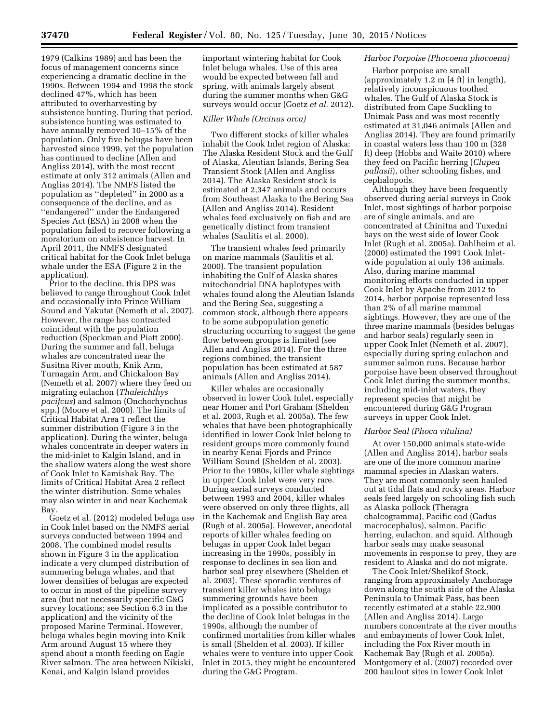1979 (Calkins 1989) and has been the focus of management concerns since experiencing a dramatic decline in the 1990s. Between 1994 and 1998 the stock declined 47%, which has been attributed to overharvesting by subsistence hunting. During that period, subsistence hunting was estimated to have annually removed 10–15% of the population. Only five belugas have been harvested since 1999, yet the population has continued to decline (Allen and Angliss 2014), with the most recent estimate at only 312 animals (Allen and Angliss 2014). The NMFS listed the population as ''depleted'' in 2000 as a consequence of the decline, and as ''endangered'' under the Endangered Species Act (ESA) in 2008 when the population failed to recover following a moratorium on subsistence harvest. In April 2011, the NMFS designated critical habitat for the Cook Inlet beluga whale under the ESA (Figure 2 in the application).

Prior to the decline, this DPS was believed to range throughout Cook Inlet and occasionally into Prince William Sound and Yakutat (Nemeth et al. 2007). However, the range has contracted coincident with the population reduction (Speckman and Piatt 2000). During the summer and fall, beluga whales are concentrated near the Susitna River mouth, Knik Arm, Turnagain Arm, and Chickaloon Bay (Nemeth et al. 2007) where they feed on migrating eulachon (*Thaleichthys pacifcus*) and salmon (Onchorhynchus spp.) (Moore et al. 2000). The limits of Critical Habitat Area 1 reflect the summer distribution (Figure 3 in the application). During the winter, beluga whales concentrate in deeper waters in the mid-inlet to Kalgin Island, and in the shallow waters along the west shore of Cook Inlet to Kamishak Bay. The limits of Critical Habitat Area 2 reflect the winter distribution. Some whales may also winter in and near Kachemak Bay.

Goetz et al. (2012) modeled beluga use in Cook Inlet based on the NMFS aerial surveys conducted between 1994 and 2008. The combined model results shown in Figure 3 in the application indicate a very clumped distribution of summering beluga whales, and that lower densities of belugas are expected to occur in most of the pipeline survey area (but not necessarily specific G&G survey locations; see Section 6.3 in the application) and the vicinity of the proposed Marine Terminal. However, beluga whales begin moving into Knik Arm around August 15 where they spend about a month feeding on Eagle River salmon. The area between Nikiski, Kenai, and Kalgin Island provides

important wintering habitat for Cook Inlet beluga whales. Use of this area would be expected between fall and spring, with animals largely absent during the summer months when G&G surveys would occur (Goetz *et al.* 2012).

### *Killer Whale (Orcinus orca)*

Two different stocks of killer whales inhabit the Cook Inlet region of Alaska: The Alaska Resident Stock and the Gulf of Alaska, Aleutian Islands, Bering Sea Transient Stock (Allen and Angliss 2014). The Alaska Resident stock is estimated at 2,347 animals and occurs from Southeast Alaska to the Bering Sea (Allen and Angliss 2014). Resident whales feed exclusively on fish and are genetically distinct from transient whales (Saulitis et al. 2000).

The transient whales feed primarily on marine mammals (Saulitis et al. 2000). The transient population inhabiting the Gulf of Alaska shares mitochondrial DNA haplotypes with whales found along the Aleutian Islands and the Bering Sea, suggesting a common stock, although there appears to be some subpopulation genetic structuring occurring to suggest the gene flow between groups is limited (see Allen and Angliss 2014). For the three regions combined, the transient population has been estimated at 587 animals (Allen and Angliss 2014).

Killer whales are occasionally observed in lower Cook Inlet, especially near Homer and Port Graham (Shelden et al. 2003, Rugh et al. 2005a). The few whales that have been photographically identified in lower Cook Inlet belong to resident groups more commonly found in nearby Kenai Fjords and Prince William Sound (Shelden et al. 2003). Prior to the 1980s, killer whale sightings in upper Cook Inlet were very rare. During aerial surveys conducted between 1993 and 2004, killer whales were observed on only three flights, all in the Kachemak and English Bay area (Rugh et al. 2005a). However, anecdotal reports of killer whales feeding on belugas in upper Cook Inlet began increasing in the 1990s, possibly in response to declines in sea lion and harbor seal prey elsewhere (Shelden et al. 2003). These sporadic ventures of transient killer whales into beluga summering grounds have been implicated as a possible contributor to the decline of Cook Inlet belugas in the 1990s, although the number of confirmed mortalities from killer whales is small (Shelden et al. 2003). If killer whales were to venture into upper Cook Inlet in 2015, they might be encountered during the G&G Program.

## *Harbor Porpoise (Phocoena phocoena)*

Harbor porpoise are small (approximately 1.2 m [4 ft] in length), relatively inconspicuous toothed whales. The Gulf of Alaska Stock is distributed from Cape Suckling to Unimak Pass and was most recently estimated at 31,046 animals (Allen and Angliss 2014). They are found primarily in coastal waters less than 100 m (328 ft) deep (Hobbs and Waite 2010) where they feed on Pacific herring (*Clupea pallasii*), other schooling fishes, and cephalopods.

Although they have been frequently observed during aerial surveys in Cook Inlet, most sightings of harbor porpoise are of single animals, and are concentrated at Chinitna and Tuxedni bays on the west side of lower Cook Inlet (Rugh et al. 2005a). Dahlheim et al. (2000) estimated the 1991 Cook Inletwide population at only 136 animals. Also, during marine mammal monitoring efforts conducted in upper Cook Inlet by Apache from 2012 to 2014, harbor porpoise represented less than 2% of all marine mammal sightings. However, they are one of the three marine mammals (besides belugas and harbor seals) regularly seen in upper Cook Inlet (Nemeth et al. 2007), especially during spring eulachon and summer salmon runs. Because harbor porpoise have been observed throughout Cook Inlet during the summer months, including mid-inlet waters, they represent species that might be encountered during G&G Program surveys in upper Cook Inlet.

### *Harbor Seal (Phoca vitulina)*

At over 150,000 animals state-wide (Allen and Angliss 2014), harbor seals are one of the more common marine mammal species in Alaskan waters. They are most commonly seen hauled out at tidal flats and rocky areas. Harbor seals feed largely on schooling fish such as Alaska pollock (Theragra chalcogramma), Pacific cod (Gadus macrocephalus), salmon, Pacific herring, eulachon, and squid. Although harbor seals may make seasonal movements in response to prey, they are resident to Alaska and do not migrate.

The Cook Inlet/Shelikof Stock, ranging from approximately Anchorage down along the south side of the Alaska Peninsula to Unimak Pass, has been recently estimated at a stable 22,900 (Allen and Angliss 2014). Large numbers concentrate at the river mouths and embayments of lower Cook Inlet, including the Fox River mouth in Kachemak Bay (Rugh et al. 2005a). Montgomery et al. (2007) recorded over 200 haulout sites in lower Cook Inlet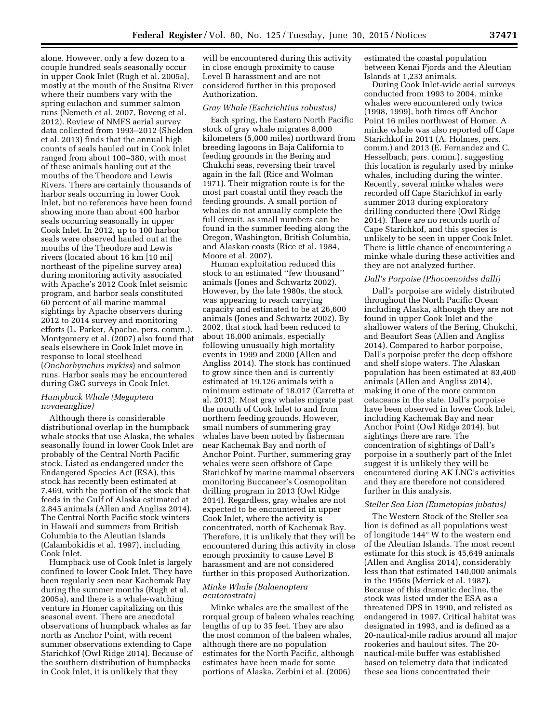alone. However, only a few dozen to a couple hundred seals seasonally occur in upper Cook Inlet (Rugh et al. 2005a), mostly at the mouth of the Susitna River where their numbers vary with the spring eulachon and summer salmon runs (Nemeth et al. 2007, Boveng et al. 2012). Review of NMFS aerial survey data collected from 1993–2012 (Shelden et al. 2013) finds that the annual high counts of seals hauled out in Cook Inlet ranged from about 100–380, with most of these animals hauling out at the mouths of the Theodore and Lewis Rivers. There are certainly thousands of harbor seals occurring in lower Cook Inlet, but no references have been found showing more than about 400 harbor seals occurring seasonally in upper Cook Inlet. In 2012, up to 100 harbor seals were observed hauled out at the mouths of the Theodore and Lewis rivers (located about 16 km [10 mi] northeast of the pipeline survey area) during monitoring activity associated with Apache's 2012 Cook Inlet seismic program, and harbor seals constituted 60 percent of all marine mammal sightings by Apache observers during 2012 to 2014 survey and monitoring efforts (L. Parker, Apache, pers. comm.). Montgomery et al. (2007) also found that seals elsewhere in Cook Inlet move in response to local steelhead (*Onchorhynchus mykiss*) and salmon runs. Harbor seals may be encountered during G&G surveys in Cook Inlet.

## *Humpback Whale (Megaptera novaeangliae)*

Although there is considerable distributional overlap in the humpback whale stocks that use Alaska, the whales seasonally found in lower Cook Inlet are probably of the Central North Pacific stock. Listed as endangered under the Endangered Species Act (ESA), this stock has recently been estimated at 7,469, with the portion of the stock that feeds in the Gulf of Alaska estimated at 2,845 animals (Allen and Angliss 2014). The Central North Pacific stock winters in Hawaii and summers from British Columbia to the Aleutian Islands (Calambokidis et al. 1997), including Cook Inlet.

Humpback use of Cook Inlet is largely confined to lower Cook Inlet. They have been regularly seen near Kachemak Bay during the summer months (Rugh et al. 2005a), and there is a whale-watching venture in Homer capitalizing on this seasonal event. There are anecdotal observations of humpback whales as far north as Anchor Point, with recent summer observations extending to Cape Starichkof (Owl Ridge 2014). Because of the southern distribution of humpbacks in Cook Inlet, it is unlikely that they

will be encountered during this activity in close enough proximity to cause Level B harassment and are not considered further in this proposed Authorization.

## *Gray Whale (Eschrichtius robustus)*

Each spring, the Eastern North Pacific stock of gray whale migrates 8,000 kilometers (5,000 miles) northward from breeding lagoons in Baja California to feeding grounds in the Bering and Chukchi seas, reversing their travel again in the fall (Rice and Wolman 1971). Their migration route is for the most part coastal until they reach the feeding grounds. A small portion of whales do not annually complete the full circuit, as small numbers can be found in the summer feeding along the Oregon, Washington, British Columbia, and Alaskan coasts (Rice et al. 1984, Moore et al. 2007).

Human exploitation reduced this stock to an estimated ''few thousand'' animals (Jones and Schwartz 2002). However, by the late 1980s, the stock was appearing to reach carrying capacity and estimated to be at 26,600 animals (Jones and Schwartz 2002). By 2002, that stock had been reduced to about 16,000 animals, especially following unusually high mortality events in 1999 and 2000 (Allen and Angliss 2014). The stock has continued to grow since then and is currently estimated at 19,126 animals with a minimum estimate of 18,017 (Carretta et al. 2013). Most gray whales migrate past the mouth of Cook Inlet to and from northern feeding grounds. However, small numbers of summering gray whales have been noted by fisherman near Kachemak Bay and north of Anchor Point. Further, summering gray whales were seen offshore of Cape Starichkof by marine mammal observers monitoring Buccaneer's Cosmopolitan drilling program in 2013 (Owl Ridge 2014). Regardless, gray whales are not expected to be encountered in upper Cook Inlet, where the activity is concentrated, north of Kachemak Bay. Therefore, it is unlikely that they will be encountered during this activity in close enough proximity to cause Level B harassment and are not considered further in this proposed Authorization.

## *Minke Whale (Balaenoptera acutorostrata)*

Minke whales are the smallest of the rorqual group of baleen whales reaching lengths of up to 35 feet. They are also the most common of the baleen whales, although there are no population estimates for the North Pacific, although estimates have been made for some portions of Alaska. Zerbini et al. (2006)

estimated the coastal population between Kenai Fjords and the Aleutian Islands at 1,233 animals.

During Cook Inlet-wide aerial surveys conducted from 1993 to 2004, minke whales were encountered only twice (1998, 1999), both times off Anchor Point 16 miles northwest of Homer. A minke whale was also reported off Cape Starichkof in 2011 (A. Holmes, pers. comm.) and 2013 (E. Fernandez and C. Hesselbach, pers. comm.), suggesting this location is regularly used by minke whales, including during the winter. Recently, several minke whales were recorded off Cape Starichkof in early summer 2013 during exploratory drilling conducted there (Owl Ridge 2014). There are no records north of Cape Starichkof, and this species is unlikely to be seen in upper Cook Inlet. There is little chance of encountering a minke whale during these activities and they are not analyzed further.

### *Dall's Porpoise (Phocoenoides dalli)*

Dall's porpoise are widely distributed throughout the North Pacific Ocean including Alaska, although they are not found in upper Cook Inlet and the shallower waters of the Bering, Chukchi, and Beaufort Seas (Allen and Angliss 2014). Compared to harbor porpoise, Dall's porpoise prefer the deep offshore and shelf slope waters. The Alaskan population has been estimated at 83,400 animals (Allen and Angliss 2014), making it one of the more common cetaceans in the state. Dall's porpoise have been observed in lower Cook Inlet, including Kachemak Bay and near Anchor Point (Owl Ridge 2014), but sightings there are rare. The concentration of sightings of Dall's porpoise in a southerly part of the Inlet suggest it is unlikely they will be encountered during AK LNG's activities and they are therefore not considered further in this analysis.

#### *Steller Sea Lion (Eumetopias jubatus)*

The Western Stock of the Steller sea lion is defined as all populations west of longitude 144° W to the western end of the Aleutian Islands. The most recent estimate for this stock is 45,649 animals (Allen and Angliss 2014), considerably less than that estimated 140,000 animals in the 1950s (Merrick et al. 1987). Because of this dramatic decline, the stock was listed under the ESA as a threatened DPS in 1990, and relisted as endangered in 1997. Critical habitat was designated in 1993, and is defined as a 20-nautical-mile radius around all major rookeries and haulout sites. The 20 nautical-mile buffer was established based on telemetry data that indicated these sea lions concentrated their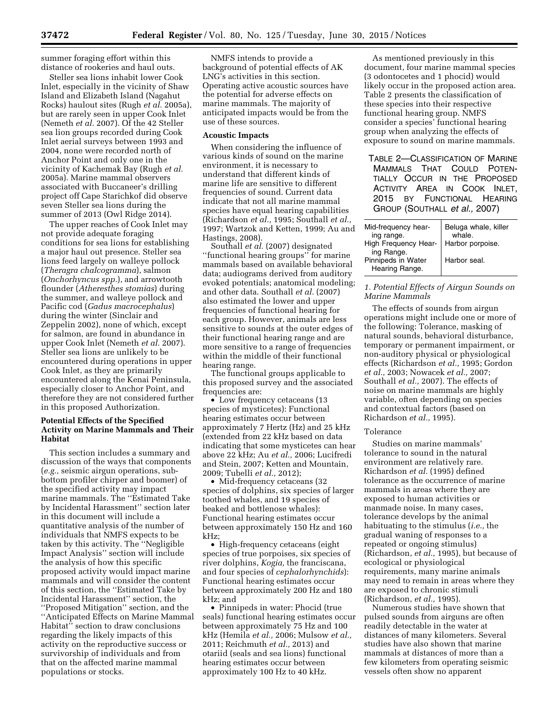summer foraging effort within this distance of rookeries and haul outs.

Steller sea lions inhabit lower Cook Inlet, especially in the vicinity of Shaw Island and Elizabeth Island (Nagahut Rocks) haulout sites (Rugh *et al.* 2005a), but are rarely seen in upper Cook Inlet (Nemeth *et al.* 2007). Of the 42 Steller sea lion groups recorded during Cook Inlet aerial surveys between 1993 and 2004, none were recorded north of Anchor Point and only one in the vicinity of Kachemak Bay (Rugh *et al.*  2005a). Marine mammal observers associated with Buccaneer's drilling project off Cape Starichkof did observe seven Steller sea lions during the summer of 2013 (Owl Ridge 2014).

The upper reaches of Cook Inlet may not provide adequate foraging conditions for sea lions for establishing a major haul out presence. Steller sea lions feed largely on walleye pollock (*Theragra chalcogramma*), salmon (*Onchorhyncus spp.*), and arrowtooth flounder (*Atheresthes stomias*) during the summer, and walleye pollock and Pacific cod (*Gadus macrocephalus*) during the winter (Sinclair and Zeppelin 2002), none of which, except for salmon, are found in abundance in upper Cook Inlet (Nemeth *et al.* 2007). Steller sea lions are unlikely to be encountered during operations in upper Cook Inlet, as they are primarily encountered along the Kenai Peninsula, especially closer to Anchor Point, and therefore they are not considered further in this proposed Authorization.

## **Potential Effects of the Specified Activity on Marine Mammals and Their Habitat**

This section includes a summary and discussion of the ways that components (*e.g.,* seismic airgun operations, subbottom profiler chirper and boomer) of the specified activity may impact marine mammals. The ''Estimated Take by Incidental Harassment'' section later in this document will include a quantitative analysis of the number of individuals that NMFS expects to be taken by this activity. The ''Negligible Impact Analysis'' section will include the analysis of how this specific proposed activity would impact marine mammals and will consider the content of this section, the ''Estimated Take by Incidental Harassment'' section, the ''Proposed Mitigation'' section, and the ''Anticipated Effects on Marine Mammal Habitat'' section to draw conclusions regarding the likely impacts of this activity on the reproductive success or survivorship of individuals and from that on the affected marine mammal populations or stocks.

NMFS intends to provide a background of potential effects of AK LNG's activities in this section. Operating active acoustic sources have the potential for adverse effects on marine mammals. The majority of anticipated impacts would be from the use of these sources.

#### **Acoustic Impacts**

When considering the influence of various kinds of sound on the marine environment, it is necessary to understand that different kinds of marine life are sensitive to different frequencies of sound. Current data indicate that not all marine mammal species have equal hearing capabilities (Richardson *et al.,* 1995; Southall *et al.,*  1997; Wartzok and Ketten, 1999; Au and Hastings, 2008).

Southall *et al.* (2007) designated ''functional hearing groups'' for marine mammals based on available behavioral data; audiograms derived from auditory evoked potentials; anatomical modeling; and other data. Southall *et al.* (2007) also estimated the lower and upper frequencies of functional hearing for each group. However, animals are less sensitive to sounds at the outer edges of their functional hearing range and are more sensitive to a range of frequencies within the middle of their functional hearing range.

The functional groups applicable to this proposed survey and the associated frequencies are:

• Low frequency cetaceans (13 species of mysticetes): Functional hearing estimates occur between approximately 7 Hertz (Hz) and 25 kHz (extended from 22 kHz based on data indicating that some mysticetes can hear above 22 kHz; Au *et al.,* 2006; Lucifredi and Stein, 2007; Ketten and Mountain, 2009; Tubelli *et al.,* 2012);

• Mid-frequency cetaceans (32 species of dolphins, six species of larger toothed whales, and 19 species of beaked and bottlenose whales): Functional hearing estimates occur between approximately 150 Hz and 160 kHz;

• High-frequency cetaceans (eight species of true porpoises, six species of river dolphins, *Kogia,* the franciscana, and four species of *cephalorhynchids*): Functional hearing estimates occur between approximately 200 Hz and 180 kHz; and

• Pinnipeds in water: Phocid (true seals) functional hearing estimates occur between approximately 75 Hz and 100 kHz (Hemila *et al.,* 2006; Mulsow *et al.,*  2011; Reichmuth *et al.,* 2013) and otariid (seals and sea lions) functional hearing estimates occur between approximately 100 Hz to 40 kHz.

As mentioned previously in this document, four marine mammal species (3 odontocetes and 1 phocid) would likely occur in the proposed action area. Table 2 presents the classification of these species into their respective functional hearing group. NMFS consider a species' functional hearing group when analyzing the effects of exposure to sound on marine mammals.

TABLE 2—CLASSIFICATION OF MARINE MAMMALS THAT COULD POTEN-TIALLY OCCUR IN THE PROPOSED ACTIVITY AREA IN COOK INLET, 2015 BY FUNCTIONAL HEARING GROUP (SOUTHALL *et al.,* 2007)

| Mid-frequency hear-<br>ing range.  | Beluga whale, killer<br>whale |
|------------------------------------|-------------------------------|
| High Frequency Hear-<br>ing Range. | Harbor porpoise.              |
| Pinnipeds in Water                 | Harbor seal.                  |
| Hearing Range.                     |                               |

## *1. Potential Effects of Airgun Sounds on Marine Mammals*

The effects of sounds from airgun operations might include one or more of the following: Tolerance, masking of natural sounds, behavioral disturbance, temporary or permanent impairment, or non-auditory physical or physiological effects (Richardson *et al.,* 1995; Gordon *et al.,* 2003; Nowacek *et al.,* 2007; Southall *et al.,* 2007). The effects of noise on marine mammals are highly variable, often depending on species and contextual factors (based on Richardson *et al.,* 1995).

#### Tolerance

Studies on marine mammals' tolerance to sound in the natural environment are relatively rare. Richardson *et al.* (1995) defined tolerance as the occurrence of marine mammals in areas where they are exposed to human activities or manmade noise. In many cases, tolerance develops by the animal habituating to the stimulus (*i.e.,* the gradual waning of responses to a repeated or ongoing stimulus) (Richardson, *et al.,* 1995), but because of ecological or physiological requirements, many marine animals may need to remain in areas where they are exposed to chronic stimuli (Richardson, *et al.,* 1995).

Numerous studies have shown that pulsed sounds from airguns are often readily detectable in the water at distances of many kilometers. Several studies have also shown that marine mammals at distances of more than a few kilometers from operating seismic vessels often show no apparent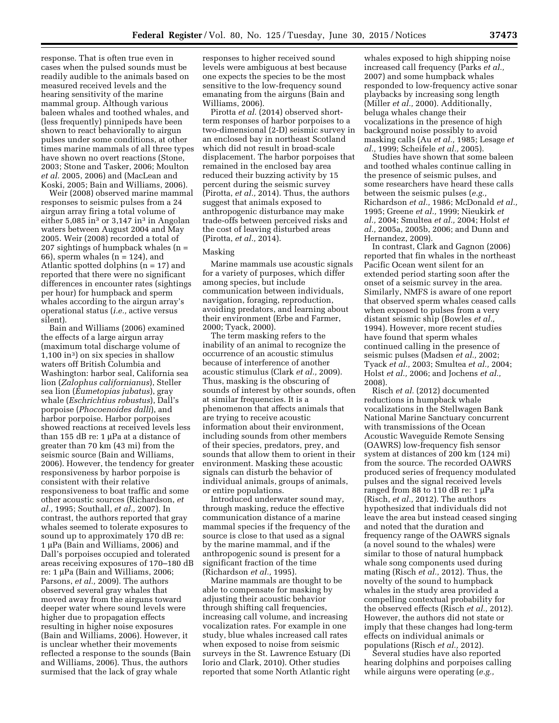response. That is often true even in cases when the pulsed sounds must be readily audible to the animals based on measured received levels and the hearing sensitivity of the marine mammal group. Although various baleen whales and toothed whales, and (less frequently) pinnipeds have been shown to react behaviorally to airgun pulses under some conditions, at other times marine mammals of all three types have shown no overt reactions (Stone, 2003; Stone and Tasker, 2006; Moulton *et al.* 2005, 2006) and (MacLean and Koski, 2005; Bain and Williams, 2006).

Weir (2008) observed marine mammal responses to seismic pulses from a 24 airgun array firing a total volume of either  $5,085$  in<sup>3</sup> or  $3,147$  in<sup>3</sup> in Angolan waters between August 2004 and May 2005. Weir (2008) recorded a total of 207 sightings of humpback whales (n =  $66$ , sperm whales  $(n = 124)$ , and Atlantic spotted dolphins  $(n = 17)$  and reported that there were no significant differences in encounter rates (sightings per hour) for humpback and sperm whales according to the airgun array's operational status (*i.e.,* active versus silent).

Bain and Williams (2006) examined the effects of a large airgun array (maximum total discharge volume of 1,100 in3) on six species in shallow waters off British Columbia and Washington: harbor seal, California sea lion (*Zalophus californianus*), Steller sea lion (*Eumetopias jubatus*), gray whale (*Eschrichtius robustus*), Dall's porpoise (*Phocoenoides dalli*), and harbor porpoise. Harbor porpoises showed reactions at received levels less than 155 dB re:  $1 \mu$ Pa at a distance of greater than 70 km (43 mi) from the seismic source (Bain and Williams, 2006). However, the tendency for greater responsiveness by harbor porpoise is consistent with their relative responsiveness to boat traffic and some other acoustic sources (Richardson, *et al.,* 1995; Southall, *et al.,* 2007). In contrast, the authors reported that gray whales seemed to tolerate exposures to sound up to approximately 170 dB re: 1 µPa (Bain and Williams, 2006) and Dall's porpoises occupied and tolerated areas receiving exposures of 170–180 dB re: 1 μPa (Bain and Williams, 2006; Parsons, *et al.,* 2009). The authors observed several gray whales that moved away from the airguns toward deeper water where sound levels were higher due to propagation effects resulting in higher noise exposures (Bain and Williams, 2006). However, it is unclear whether their movements reflected a response to the sounds (Bain and Williams, 2006). Thus, the authors surmised that the lack of gray whale

responses to higher received sound levels were ambiguous at best because one expects the species to be the most sensitive to the low-frequency sound emanating from the airguns (Bain and Williams, 2006).

Pirotta *et al.* (2014) observed shortterm responses of harbor porpoises to a two-dimensional (2-D) seismic survey in an enclosed bay in northeast Scotland which did not result in broad-scale displacement. The harbor porpoises that remained in the enclosed bay area reduced their buzzing activity by 15 percent during the seismic survey (Pirotta, *et al.,* 2014). Thus, the authors suggest that animals exposed to anthropogenic disturbance may make trade-offs between perceived risks and the cost of leaving disturbed areas (Pirotta, *et al.,* 2014).

## Masking

Marine mammals use acoustic signals for a variety of purposes, which differ among species, but include communication between individuals, navigation, foraging, reproduction, avoiding predators, and learning about their environment (Erbe and Farmer, 2000; Tyack, 2000).

The term masking refers to the inability of an animal to recognize the occurrence of an acoustic stimulus because of interference of another acoustic stimulus (Clark *et al.,* 2009). Thus, masking is the obscuring of sounds of interest by other sounds, often at similar frequencies. It is a phenomenon that affects animals that are trying to receive acoustic information about their environment, including sounds from other members of their species, predators, prey, and sounds that allow them to orient in their environment. Masking these acoustic signals can disturb the behavior of individual animals, groups of animals, or entire populations.

Introduced underwater sound may, through masking, reduce the effective communication distance of a marine mammal species if the frequency of the source is close to that used as a signal by the marine mammal, and if the anthropogenic sound is present for a significant fraction of the time (Richardson *et al.,* 1995).

Marine mammals are thought to be able to compensate for masking by adjusting their acoustic behavior through shifting call frequencies, increasing call volume, and increasing vocalization rates. For example in one study, blue whales increased call rates when exposed to noise from seismic surveys in the St. Lawrence Estuary (Di Iorio and Clark, 2010). Other studies reported that some North Atlantic right

whales exposed to high shipping noise increased call frequency (Parks *et al.,*  2007) and some humpback whales responded to low-frequency active sonar playbacks by increasing song length (Miller *et al.,* 2000). Additionally, beluga whales change their vocalizations in the presence of high background noise possibly to avoid masking calls (Au *et al.,* 1985; Lesage *et al.,* 1999; Scheifele *et al.,* 2005).

Studies have shown that some baleen and toothed whales continue calling in the presence of seismic pulses, and some researchers have heard these calls between the seismic pulses (*e.g.,*  Richardson *et al.,* 1986; McDonald *et al.,*  1995; Greene *et al.,* 1999; Nieukirk *et al.,* 2004; Smultea *et al.,* 2004; Holst *et al.,* 2005a, 2005b, 2006; and Dunn and Hernandez, 2009).

In contrast, Clark and Gagnon (2006) reported that fin whales in the northeast Pacific Ocean went silent for an extended period starting soon after the onset of a seismic survey in the area. Similarly, NMFS is aware of one report that observed sperm whales ceased calls when exposed to pulses from a very distant seismic ship (Bowles *et al.,*  1994). However, more recent studies have found that sperm whales continued calling in the presence of seismic pulses (Madsen *et al.,* 2002; Tyack *et al.,* 2003; Smultea *et al.,* 2004; Holst *et al.,* 2006; and Jochens *et al.,*  2008).

Risch *et al.* (2012) documented reductions in humpback whale vocalizations in the Stellwagen Bank National Marine Sanctuary concurrent with transmissions of the Ocean Acoustic Waveguide Remote Sensing (OAWRS) low-frequency fish sensor system at distances of 200 km (124 mi) from the source. The recorded OAWRS produced series of frequency modulated pulses and the signal received levels ranged from 88 to 110 dB re:  $1 \mu Pa$ (Risch, *et al.,* 2012). The authors hypothesized that individuals did not leave the area but instead ceased singing and noted that the duration and frequency range of the OAWRS signals (a novel sound to the whales) were similar to those of natural humpback whale song components used during mating (Risch *et al.,* 2012). Thus, the novelty of the sound to humpback whales in the study area provided a compelling contextual probability for the observed effects (Risch *et al.,* 2012). However, the authors did not state or imply that these changes had long-term effects on individual animals or populations (Risch *et al.,* 2012).

Several studies have also reported hearing dolphins and porpoises calling while airguns were operating (*e.g.,*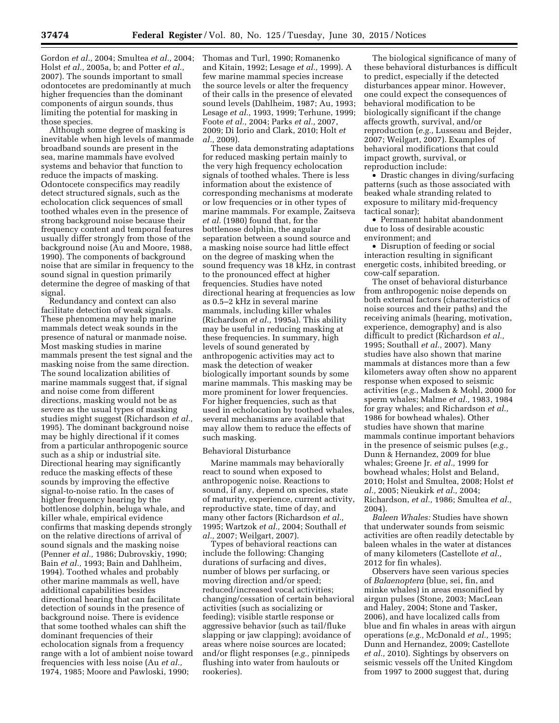Gordon *et al.,* 2004; Smultea *et al.,* 2004; Holst *et al.,* 2005a, b; and Potter *et al.,*  2007). The sounds important to small odontocetes are predominantly at much higher frequencies than the dominant components of airgun sounds, thus limiting the potential for masking in those species.

Although some degree of masking is inevitable when high levels of manmade broadband sounds are present in the sea, marine mammals have evolved systems and behavior that function to reduce the impacts of masking. Odontocete conspecifics may readily detect structured signals, such as the echolocation click sequences of small toothed whales even in the presence of strong background noise because their frequency content and temporal features usually differ strongly from those of the background noise (Au and Moore, 1988, 1990). The components of background noise that are similar in frequency to the sound signal in question primarily determine the degree of masking of that signal.

Redundancy and context can also facilitate detection of weak signals. These phenomena may help marine mammals detect weak sounds in the presence of natural or manmade noise. Most masking studies in marine mammals present the test signal and the masking noise from the same direction. The sound localization abilities of marine mammals suggest that, if signal and noise come from different directions, masking would not be as severe as the usual types of masking studies might suggest (Richardson *et al.,*  1995). The dominant background noise may be highly directional if it comes from a particular anthropogenic source such as a ship or industrial site. Directional hearing may significantly reduce the masking effects of these sounds by improving the effective signal-to-noise ratio. In the cases of higher frequency hearing by the bottlenose dolphin, beluga whale, and killer whale, empirical evidence confirms that masking depends strongly on the relative directions of arrival of sound signals and the masking noise (Penner *et al.,* 1986; Dubrovskiy, 1990; Bain *et al.,* 1993; Bain and Dahlheim, 1994). Toothed whales and probably other marine mammals as well, have additional capabilities besides directional hearing that can facilitate detection of sounds in the presence of background noise. There is evidence that some toothed whales can shift the dominant frequencies of their echolocation signals from a frequency range with a lot of ambient noise toward frequencies with less noise (Au *et al.,*  1974, 1985; Moore and Pawloski, 1990;

Thomas and Turl, 1990; Romanenko and Kitain, 1992; Lesage *et al.,* 1999). A few marine mammal species increase the source levels or alter the frequency of their calls in the presence of elevated sound levels (Dahlheim, 1987; Au, 1993; Lesage *et al.,* 1993, 1999; Terhune, 1999; Foote *et al.,* 2004; Parks *et al.,* 2007, 2009; Di Iorio and Clark, 2010; Holt *et al.,* 2009).

These data demonstrating adaptations for reduced masking pertain mainly to the very high frequency echolocation signals of toothed whales. There is less information about the existence of corresponding mechanisms at moderate or low frequencies or in other types of marine mammals. For example, Zaitseva *et al.* (1980) found that, for the bottlenose dolphin, the angular separation between a sound source and a masking noise source had little effect on the degree of masking when the sound frequency was 18 kHz, in contrast to the pronounced effect at higher frequencies. Studies have noted directional hearing at frequencies as low as 0.5–2 kHz in several marine mammals, including killer whales (Richardson *et al.,* 1995a). This ability may be useful in reducing masking at these frequencies. In summary, high levels of sound generated by anthropogenic activities may act to mask the detection of weaker biologically important sounds by some marine mammals. This masking may be more prominent for lower frequencies. For higher frequencies, such as that used in echolocation by toothed whales, several mechanisms are available that may allow them to reduce the effects of such masking.

## Behavioral Disturbance

Marine mammals may behaviorally react to sound when exposed to anthropogenic noise. Reactions to sound, if any, depend on species, state of maturity, experience, current activity, reproductive state, time of day, and many other factors (Richardson *et al.,*  1995; Wartzok *et al.,* 2004; Southall *et al.,* 2007; Weilgart, 2007).

Types of behavioral reactions can include the following: Changing durations of surfacing and dives, number of blows per surfacing, or moving direction and/or speed; reduced/increased vocal activities; changing/cessation of certain behavioral activities (such as socializing or feeding); visible startle response or aggressive behavior (such as tail/fluke slapping or jaw clapping); avoidance of areas where noise sources are located; and/or flight responses (*e.g.,* pinnipeds flushing into water from haulouts or rookeries).

The biological significance of many of these behavioral disturbances is difficult to predict, especially if the detected disturbances appear minor. However, one could expect the consequences of behavioral modification to be biologically significant if the change affects growth, survival, and/or reproduction (*e.g.,* Lusseau and Bejder, 2007; Weilgart, 2007). Examples of behavioral modifications that could impact growth, survival, or reproduction include:

• Drastic changes in diving/surfacing patterns (such as those associated with beaked whale stranding related to exposure to military mid-frequency tactical sonar);

• Permanent habitat abandonment due to loss of desirable acoustic environment; and

• Disruption of feeding or social interaction resulting in significant energetic costs, inhibited breeding, or cow-calf separation.

The onset of behavioral disturbance from anthropogenic noise depends on both external factors (characteristics of noise sources and their paths) and the receiving animals (hearing, motivation, experience, demography) and is also difficult to predict (Richardson *et al.,*  1995; Southall *et al.,* 2007). Many studies have also shown that marine mammals at distances more than a few kilometers away often show no apparent response when exposed to seismic activities (*e.g.,* Madsen & Mohl, 2000 for sperm whales; Malme *et al.,* 1983, 1984 for gray whales; and Richardson *et al.,*  1986 for bowhead whales). Other studies have shown that marine mammals continue important behaviors in the presence of seismic pulses (*e.g.,*  Dunn & Hernandez, 2009 for blue whales; Greene Jr. *et al.,* 1999 for bowhead whales; Holst and Beland, 2010; Holst and Smultea, 2008; Holst *et al.,* 2005; Nieukirk *et al.,* 2004; Richardson, *et al.,* 1986; Smultea *et al.,*  2004).

*Baleen Whales:* Studies have shown that underwater sounds from seismic activities are often readily detectable by baleen whales in the water at distances of many kilometers (Castellote *et al.,*  2012 for fin whales).

Observers have seen various species of *Balaenoptera* (blue, sei, fin, and minke whales) in areas ensonified by airgun pulses (Stone, 2003; MacLean and Haley, 2004; Stone and Tasker, 2006), and have localized calls from blue and fin whales in areas with airgun operations (*e.g.,* McDonald *et al.,* 1995; Dunn and Hernandez, 2009; Castellote *et al.,* 2010). Sightings by observers on seismic vessels off the United Kingdom from 1997 to 2000 suggest that, during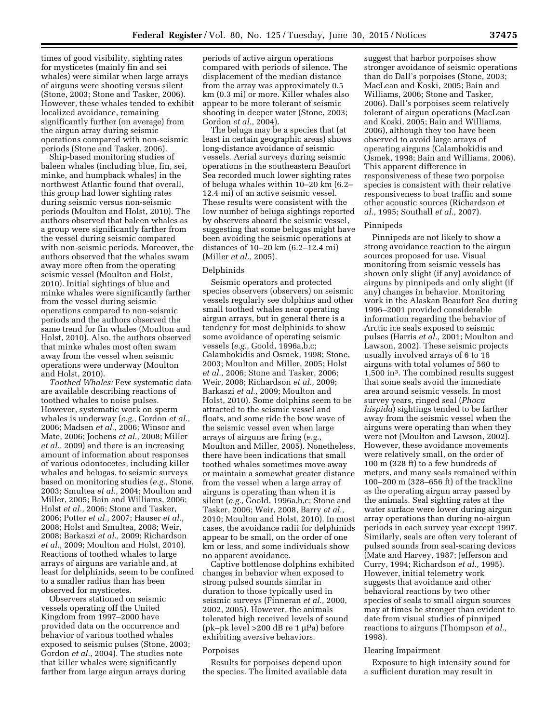times of good visibility, sighting rates for mysticetes (mainly fin and sei whales) were similar when large arrays of airguns were shooting versus silent (Stone, 2003; Stone and Tasker, 2006). However, these whales tended to exhibit localized avoidance, remaining significantly further (on average) from the airgun array during seismic operations compared with non-seismic periods (Stone and Tasker, 2006).

Ship-based monitoring studies of baleen whales (including blue, fin, sei, minke, and humpback whales) in the northwest Atlantic found that overall, this group had lower sighting rates during seismic versus non-seismic periods (Moulton and Holst, 2010). The authors observed that baleen whales as a group were significantly farther from the vessel during seismic compared with non-seismic periods. Moreover, the authors observed that the whales swam away more often from the operating seismic vessel (Moulton and Holst, 2010). Initial sightings of blue and minke whales were significantly farther from the vessel during seismic operations compared to non-seismic periods and the authors observed the same trend for fin whales (Moulton and Holst, 2010). Also, the authors observed that minke whales most often swam away from the vessel when seismic operations were underway (Moulton and Holst, 2010).

*Toothed Whales:* Few systematic data are available describing reactions of toothed whales to noise pulses. However, systematic work on sperm whales is underway (*e.g.,* Gordon *et al.,*  2006; Madsen *et al.,* 2006; Winsor and Mate, 2006; Jochens *et al.,* 2008; Miller *et al.,* 2009) and there is an increasing amount of information about responses of various odontocetes, including killer whales and belugas, to seismic surveys based on monitoring studies (*e.g.,* Stone, 2003; Smultea *et al.,* 2004; Moulton and Miller, 2005; Bain and Williams, 2006; Holst *et al.,* 2006; Stone and Tasker, 2006; Potter *et al.,* 2007; Hauser *et al.,*  2008; Holst and Smultea, 2008; Weir, 2008; Barkaszi *et al.,* 2009; Richardson *et al.,* 2009; Moulton and Holst, 2010). Reactions of toothed whales to large arrays of airguns are variable and, at least for delphinids, seem to be confined to a smaller radius than has been observed for mysticetes.

Observers stationed on seismic vessels operating off the United Kingdom from 1997–2000 have provided data on the occurrence and behavior of various toothed whales exposed to seismic pulses (Stone, 2003; Gordon *et al.,* 2004). The studies note that killer whales were significantly farther from large airgun arrays during

periods of active airgun operations compared with periods of silence. The displacement of the median distance from the array was approximately 0.5 km (0.3 mi) or more. Killer whales also appear to be more tolerant of seismic shooting in deeper water (Stone, 2003; Gordon *et al.,* 2004).

The beluga may be a species that (at least in certain geographic areas) shows long-distance avoidance of seismic vessels. Aerial surveys during seismic operations in the southeastern Beaufort Sea recorded much lower sighting rates of beluga whales within 10–20 km (6.2– 12.4 mi) of an active seismic vessel. These results were consistent with the low number of beluga sightings reported by observers aboard the seismic vessel, suggesting that some belugas might have been avoiding the seismic operations at distances of 10–20 km (6.2–12.4 mi) (Miller *et al.,* 2005).

## Delphinids

Seismic operators and protected species observers (observers) on seismic vessels regularly see dolphins and other small toothed whales near operating airgun arrays, but in general there is a tendency for most delphinids to show some avoidance of operating seismic vessels (*e.g.,* Goold, 1996a,b,c; Calambokidis and Osmek, 1998; Stone, 2003; Moulton and Miller, 2005; Holst *et al.,* 2006; Stone and Tasker, 2006; Weir, 2008; Richardson *et al.,* 2009; Barkaszi *et al.,* 2009; Moulton and Holst, 2010). Some dolphins seem to be attracted to the seismic vessel and floats, and some ride the bow wave of the seismic vessel even when large arrays of airguns are firing (*e.g.,*  Moulton and Miller, 2005). Nonetheless, there have been indications that small toothed whales sometimes move away or maintain a somewhat greater distance from the vessel when a large array of airguns is operating than when it is silent (*e.g.,* Goold, 1996a,b,c; Stone and Tasker, 2006; Weir, 2008, Barry *et al.,*  2010; Moulton and Holst, 2010). In most cases, the avoidance radii for delphinids appear to be small, on the order of one km or less, and some individuals show no apparent avoidance.

Captive bottlenose dolphins exhibited changes in behavior when exposed to strong pulsed sounds similar in duration to those typically used in seismic surveys (Finneran *et al.,* 2000, 2002, 2005). However, the animals tolerated high received levels of sound (pk–pk level >200 dB re 1  $\mu$ Pa) before exhibiting aversive behaviors.

### Porpoises

Results for porpoises depend upon the species. The limited available data suggest that harbor porpoises show stronger avoidance of seismic operations than do Dall's porpoises (Stone, 2003; MacLean and Koski, 2005; Bain and Williams, 2006; Stone and Tasker, 2006). Dall's porpoises seem relatively tolerant of airgun operations (MacLean and Koski, 2005; Bain and Williams, 2006), although they too have been observed to avoid large arrays of operating airguns (Calambokidis and Osmek, 1998; Bain and Williams, 2006). This apparent difference in responsiveness of these two porpoise species is consistent with their relative responsiveness to boat traffic and some other acoustic sources (Richardson *et al.,* 1995; Southall *et al.,* 2007).

#### Pinnipeds

Pinnipeds are not likely to show a strong avoidance reaction to the airgun sources proposed for use. Visual monitoring from seismic vessels has shown only slight (if any) avoidance of airguns by pinnipeds and only slight (if any) changes in behavior. Monitoring work in the Alaskan Beaufort Sea during 1996–2001 provided considerable information regarding the behavior of Arctic ice seals exposed to seismic pulses (Harris *et al.,* 2001; Moulton and Lawson, 2002). These seismic projects usually involved arrays of 6 to 16 airguns with total volumes of 560 to 1,500 in3. The combined results suggest that some seals avoid the immediate area around seismic vessels. In most survey years, ringed seal (*Phoca hispida*) sightings tended to be farther away from the seismic vessel when the airguns were operating than when they were not (Moulton and Lawson, 2002). However, these avoidance movements were relatively small, on the order of 100 m (328 ft) to a few hundreds of meters, and many seals remained within 100–200 m (328–656 ft) of the trackline as the operating airgun array passed by the animals. Seal sighting rates at the water surface were lower during airgun array operations than during no-airgun periods in each survey year except 1997. Similarly, seals are often very tolerant of pulsed sounds from seal-scaring devices (Mate and Harvey, 1987; Jefferson and Curry, 1994; Richardson *et al.,* 1995). However, initial telemetry work suggests that avoidance and other behavioral reactions by two other species of seals to small airgun sources may at times be stronger than evident to date from visual studies of pinniped reactions to airguns (Thompson *et al.,*  1998).

#### Hearing Impairment

Exposure to high intensity sound for a sufficient duration may result in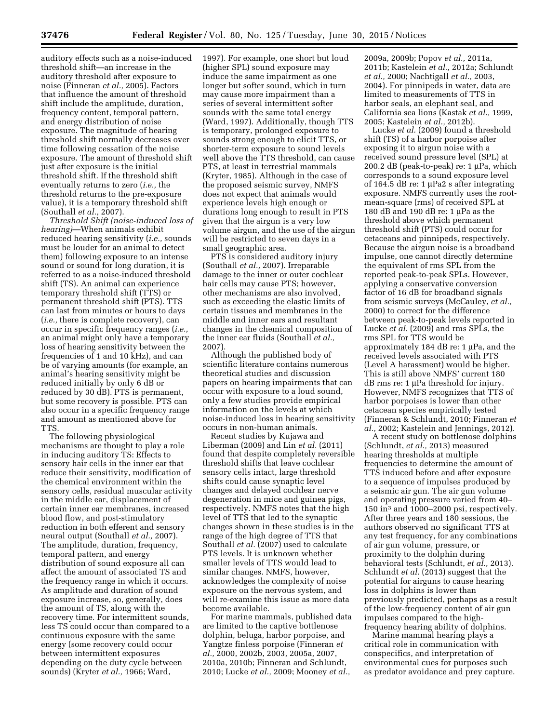auditory effects such as a noise-induced threshold shift—an increase in the auditory threshold after exposure to noise (Finneran *et al.,* 2005). Factors that influence the amount of threshold shift include the amplitude, duration, frequency content, temporal pattern, and energy distribution of noise exposure. The magnitude of hearing threshold shift normally decreases over time following cessation of the noise exposure. The amount of threshold shift just after exposure is the initial threshold shift. If the threshold shift eventually returns to zero (*i.e.,* the threshold returns to the pre-exposure value), it is a temporary threshold shift (Southall *et al.,* 2007).

*Threshold Shift (noise-induced loss of hearing)*—When animals exhibit reduced hearing sensitivity (*i.e.,* sounds must be louder for an animal to detect them) following exposure to an intense sound or sound for long duration, it is referred to as a noise-induced threshold shift (TS). An animal can experience temporary threshold shift (TTS) or permanent threshold shift (PTS). TTS can last from minutes or hours to days (*i.e.,* there is complete recovery), can occur in specific frequency ranges (*i.e.,*  an animal might only have a temporary loss of hearing sensitivity between the frequencies of 1 and 10 kHz), and can be of varying amounts (for example, an animal's hearing sensitivity might be reduced initially by only 6 dB or reduced by 30 dB). PTS is permanent, but some recovery is possible. PTS can also occur in a specific frequency range and amount as mentioned above for TTS.

The following physiological mechanisms are thought to play a role in inducing auditory TS: Effects to sensory hair cells in the inner ear that reduce their sensitivity, modification of the chemical environment within the sensory cells, residual muscular activity in the middle ear, displacement of certain inner ear membranes, increased blood flow, and post-stimulatory reduction in both efferent and sensory neural output (Southall *et al.,* 2007). The amplitude, duration, frequency, temporal pattern, and energy distribution of sound exposure all can affect the amount of associated TS and the frequency range in which it occurs. As amplitude and duration of sound exposure increase, so, generally, does the amount of TS, along with the recovery time. For intermittent sounds, less TS could occur than compared to a continuous exposure with the same energy (some recovery could occur between intermittent exposures depending on the duty cycle between sounds) (Kryter *et al.,* 1966; Ward,

1997). For example, one short but loud (higher SPL) sound exposure may induce the same impairment as one longer but softer sound, which in turn may cause more impairment than a series of several intermittent softer sounds with the same total energy (Ward, 1997). Additionally, though TTS is temporary, prolonged exposure to sounds strong enough to elicit TTS, or shorter-term exposure to sound levels well above the TTS threshold, can cause PTS, at least in terrestrial mammals (Kryter, 1985). Although in the case of the proposed seismic survey, NMFS does not expect that animals would experience levels high enough or durations long enough to result in PTS given that the airgun is a very low volume airgun, and the use of the airgun will be restricted to seven days in a small geographic area.

PTS is considered auditory injury (Southall *et al.,* 2007). Irreparable damage to the inner or outer cochlear hair cells may cause PTS; however, other mechanisms are also involved, such as exceeding the elastic limits of certain tissues and membranes in the middle and inner ears and resultant changes in the chemical composition of the inner ear fluids (Southall *et al.,*  2007).

Although the published body of scientific literature contains numerous theoretical studies and discussion papers on hearing impairments that can occur with exposure to a loud sound, only a few studies provide empirical information on the levels at which noise-induced loss in hearing sensitivity occurs in non-human animals.

Recent studies by Kujawa and Liberman (2009) and Lin *et al.* (2011) found that despite completely reversible threshold shifts that leave cochlear sensory cells intact, large threshold shifts could cause synaptic level changes and delayed cochlear nerve degeneration in mice and guinea pigs, respectively. NMFS notes that the high level of TTS that led to the synaptic changes shown in these studies is in the range of the high degree of TTS that Southall *et al.* (2007) used to calculate PTS levels. It is unknown whether smaller levels of TTS would lead to similar changes. NMFS, however, acknowledges the complexity of noise exposure on the nervous system, and will re-examine this issue as more data become available.

For marine mammals, published data are limited to the captive bottlenose dolphin, beluga, harbor porpoise, and Yangtze finless porpoise (Finneran *et al.,* 2000, 2002b, 2003, 2005a, 2007, 2010a, 2010b; Finneran and Schlundt, 2010; Lucke *et al.,* 2009; Mooney *et al.,* 

2009a, 2009b; Popov *et al.,* 2011a, 2011b; Kastelein *et al.,* 2012a; Schlundt *et al.,* 2000; Nachtigall *et al.,* 2003, 2004). For pinnipeds in water, data are limited to measurements of TTS in harbor seals, an elephant seal, and California sea lions (Kastak *et al.,* 1999, 2005; Kastelein *et al.,* 2012b).

Lucke *et al.* (2009) found a threshold shift (TS) of a harbor porpoise after exposing it to airgun noise with a received sound pressure level (SPL) at 200.2 dB (peak-to-peak) re:  $1 \mu Pa$ , which corresponds to a sound exposure level of 164.5 dB re: 1  $\mu$ Pa2 s after integrating exposure. NMFS currently uses the rootmean-square (rms) of received SPL at 180 dB and 190 dB re: 1  $\mu$ Pa as the threshold above which permanent threshold shift (PTS) could occur for cetaceans and pinnipeds, respectively. Because the airgun noise is a broadband impulse, one cannot directly determine the equivalent of rms SPL from the reported peak-to-peak SPLs. However, applying a conservative conversion factor of 16 dB for broadband signals from seismic surveys (McCauley, *et al.,*  2000) to correct for the difference between peak-to-peak levels reported in Lucke *et al.* (2009) and rms SPLs, the rms SPL for TTS would be approximately 184 dB re:  $1 \mu Pa$ , and the received levels associated with PTS (Level A harassment) would be higher. This is still above NMFS' current 180  $dB$  rms re: 1  $\mu$ Pa threshold for injury. However, NMFS recognizes that TTS of harbor porpoises is lower than other cetacean species empirically tested (Finneran & Schlundt, 2010; Finneran *et al.,* 2002; Kastelein and Jennings, 2012).

A recent study on bottlenose dolphins (Schlundt, *et al.,* 2013) measured hearing thresholds at multiple frequencies to determine the amount of TTS induced before and after exposure to a sequence of impulses produced by a seismic air gun. The air gun volume and operating pressure varied from 40– 150 in3 and 1000–2000 psi, respectively. After three years and 180 sessions, the authors observed no significant TTS at any test frequency, for any combinations of air gun volume, pressure, or proximity to the dolphin during behavioral tests (Schlundt, *et al.,* 2013). Schlundt *et al.* (2013) suggest that the potential for airguns to cause hearing loss in dolphins is lower than previously predicted, perhaps as a result of the low-frequency content of air gun impulses compared to the highfrequency hearing ability of dolphins.

Marine mammal hearing plays a critical role in communication with conspecifics, and interpretation of environmental cues for purposes such as predator avoidance and prey capture.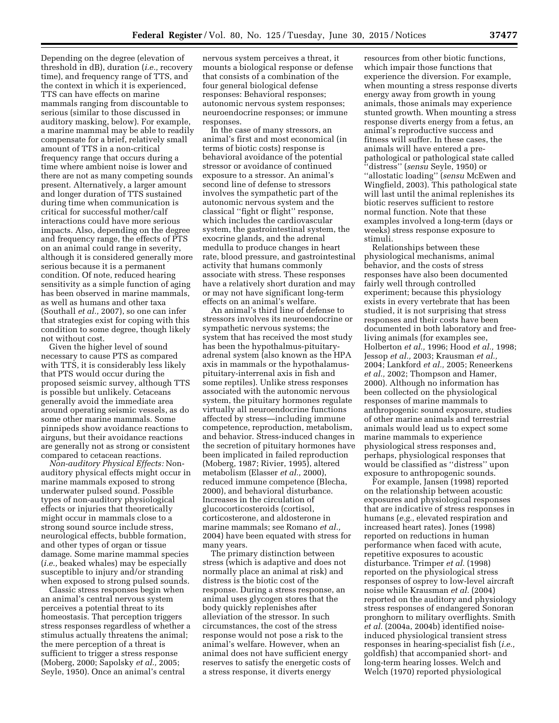Depending on the degree (elevation of threshold in dB), duration (*i.e.,* recovery time), and frequency range of TTS, and the context in which it is experienced, TTS can have effects on marine mammals ranging from discountable to serious (similar to those discussed in auditory masking, below). For example, a marine mammal may be able to readily compensate for a brief, relatively small amount of TTS in a non-critical frequency range that occurs during a time where ambient noise is lower and there are not as many competing sounds present. Alternatively, a larger amount and longer duration of TTS sustained during time when communication is critical for successful mother/calf interactions could have more serious impacts. Also, depending on the degree and frequency range, the effects of PTS on an animal could range in severity, although it is considered generally more serious because it is a permanent condition. Of note, reduced hearing sensitivity as a simple function of aging has been observed in marine mammals, as well as humans and other taxa (Southall *et al.,* 2007), so one can infer that strategies exist for coping with this condition to some degree, though likely not without cost.

Given the higher level of sound necessary to cause PTS as compared with TTS, it is considerably less likely that PTS would occur during the proposed seismic survey, although TTS is possible but unlikely. Cetaceans generally avoid the immediate area around operating seismic vessels, as do some other marine mammals. Some pinnipeds show avoidance reactions to airguns, but their avoidance reactions are generally not as strong or consistent compared to cetacean reactions.

*Non-auditory Physical Effects:* Nonauditory physical effects might occur in marine mammals exposed to strong underwater pulsed sound. Possible types of non-auditory physiological effects or injuries that theoretically might occur in mammals close to a strong sound source include stress, neurological effects, bubble formation, and other types of organ or tissue damage. Some marine mammal species (*i.e.,* beaked whales) may be especially susceptible to injury and/or stranding when exposed to strong pulsed sounds.

Classic stress responses begin when an animal's central nervous system perceives a potential threat to its homeostasis. That perception triggers stress responses regardless of whether a stimulus actually threatens the animal; the mere perception of a threat is sufficient to trigger a stress response (Moberg, 2000; Sapolsky *et al.,* 2005; Seyle, 1950). Once an animal's central

nervous system perceives a threat, it mounts a biological response or defense that consists of a combination of the four general biological defense responses: Behavioral responses; autonomic nervous system responses; neuroendocrine responses; or immune responses.

In the case of many stressors, an animal's first and most economical (in terms of biotic costs) response is behavioral avoidance of the potential stressor or avoidance of continued exposure to a stressor. An animal's second line of defense to stressors involves the sympathetic part of the autonomic nervous system and the classical ''fight or flight'' response, which includes the cardiovascular system, the gastrointestinal system, the exocrine glands, and the adrenal medulla to produce changes in heart rate, blood pressure, and gastrointestinal activity that humans commonly associate with stress. These responses have a relatively short duration and may or may not have significant long-term effects on an animal's welfare.

An animal's third line of defense to stressors involves its neuroendocrine or sympathetic nervous systems; the system that has received the most study has been the hypothalmus-pituitaryadrenal system (also known as the HPA axis in mammals or the hypothalamuspituitary-interrenal axis in fish and some reptiles). Unlike stress responses associated with the autonomic nervous system, the pituitary hormones regulate virtually all neuroendocrine functions affected by stress—including immune competence, reproduction, metabolism, and behavior. Stress-induced changes in the secretion of pituitary hormones have been implicated in failed reproduction (Moberg, 1987; Rivier, 1995), altered metabolism (Elasser *et al.,* 2000), reduced immune competence (Blecha, 2000), and behavioral disturbance. Increases in the circulation of glucocorticosteroids (cortisol, corticosterone, and aldosterone in marine mammals; see Romano *et al.,*  2004) have been equated with stress for many years.

The primary distinction between stress (which is adaptive and does not normally place an animal at risk) and distress is the biotic cost of the response. During a stress response, an animal uses glycogen stores that the body quickly replenishes after alleviation of the stressor. In such circumstances, the cost of the stress response would not pose a risk to the animal's welfare. However, when an animal does not have sufficient energy reserves to satisfy the energetic costs of a stress response, it diverts energy

resources from other biotic functions, which impair those functions that experience the diversion. For example, when mounting a stress response diverts energy away from growth in young animals, those animals may experience stunted growth. When mounting a stress response diverts energy from a fetus, an animal's reproductive success and fitness will suffer. In these cases, the animals will have entered a prepathological or pathological state called ''distress'' (*sensu* Seyle, 1950) or ''allostatic loading'' (*sensu* McEwen and Wingfield, 2003). This pathological state will last until the animal replenishes its biotic reserves sufficient to restore normal function. Note that these examples involved a long-term (days or weeks) stress response exposure to stimuli.

Relationships between these physiological mechanisms, animal behavior, and the costs of stress responses have also been documented fairly well through controlled experiment; because this physiology exists in every vertebrate that has been studied, it is not surprising that stress responses and their costs have been documented in both laboratory and freeliving animals (for examples see, Holberton *et al.,* 1996; Hood *et al.,* 1998; Jessop *et al.,* 2003; Krausman *et al.,*  2004; Lankford *et al.,* 2005; Reneerkens *et al.,* 2002; Thompson and Hamer, 2000). Although no information has been collected on the physiological responses of marine mammals to anthropogenic sound exposure, studies of other marine animals and terrestrial animals would lead us to expect some marine mammals to experience physiological stress responses and, perhaps, physiological responses that would be classified as ''distress'' upon exposure to anthropogenic sounds.

For example, Jansen (1998) reported on the relationship between acoustic exposures and physiological responses that are indicative of stress responses in humans (*e.g.,* elevated respiration and increased heart rates). Jones (1998) reported on reductions in human performance when faced with acute, repetitive exposures to acoustic disturbance. Trimper *et al.* (1998) reported on the physiological stress responses of osprey to low-level aircraft noise while Krausman *et al.* (2004) reported on the auditory and physiology stress responses of endangered Sonoran pronghorn to military overflights. Smith *et al.* (2004a, 2004b) identified noiseinduced physiological transient stress responses in hearing-specialist fish (*i.e.,*  goldfish) that accompanied short- and long-term hearing losses. Welch and Welch (1970) reported physiological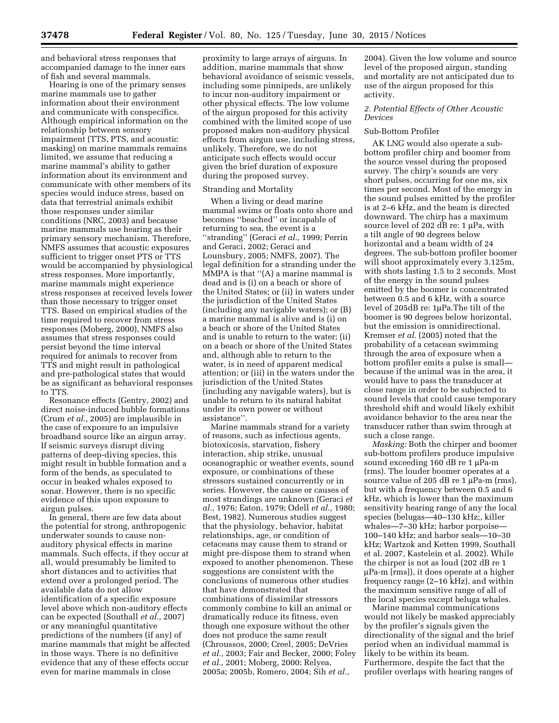and behavioral stress responses that accompanied damage to the inner ears of fish and several mammals.

Hearing is one of the primary senses marine mammals use to gather information about their environment and communicate with conspecifics. Although empirical information on the relationship between sensory impairment (TTS, PTS, and acoustic masking) on marine mammals remains limited, we assume that reducing a marine mammal's ability to gather information about its environment and communicate with other members of its species would induce stress, based on data that terrestrial animals exhibit those responses under similar conditions (NRC, 2003) and because marine mammals use hearing as their primary sensory mechanism. Therefore, NMFS assumes that acoustic exposures sufficient to trigger onset PTS or TTS would be accompanied by physiological stress responses. More importantly, marine mammals might experience stress responses at received levels lower than those necessary to trigger onset TTS. Based on empirical studies of the time required to recover from stress responses (Moberg, 2000), NMFS also assumes that stress responses could persist beyond the time interval required for animals to recover from TTS and might result in pathological and pre-pathological states that would be as significant as behavioral responses to TTS.

Resonance effects (Gentry, 2002) and direct noise-induced bubble formations (Crum *et al.,* 2005) are implausible in the case of exposure to an impulsive broadband source like an airgun array. If seismic surveys disrupt diving patterns of deep-diving species, this might result in bubble formation and a form of the bends, as speculated to occur in beaked whales exposed to sonar. However, there is no specific evidence of this upon exposure to airgun pulses.

In general, there are few data about the potential for strong, anthropogenic underwater sounds to cause nonauditory physical effects in marine mammals. Such effects, if they occur at all, would presumably be limited to short distances and to activities that extend over a prolonged period. The available data do not allow identification of a specific exposure level above which non-auditory effects can be expected (Southall *et al.,* 2007) or any meaningful quantitative predictions of the numbers (if any) of marine mammals that might be affected in those ways. There is no definitive evidence that any of these effects occur even for marine mammals in close

proximity to large arrays of airguns. In addition, marine mammals that show behavioral avoidance of seismic vessels, including some pinnipeds, are unlikely to incur non-auditory impairment or other physical effects. The low volume of the airgun proposed for this activity combined with the limited scope of use proposed makes non-auditory physical effects from airgun use, including stress, unlikely. Therefore, we do not anticipate such effects would occur given the brief duration of exposure during the proposed survey.

## Stranding and Mortality

When a living or dead marine mammal swims or floats onto shore and becomes ''beached'' or incapable of returning to sea, the event is a ''stranding'' (Geraci *et al.,* 1999; Perrin and Geraci, 2002; Geraci and Lounsbury, 2005; NMFS, 2007). The legal definition for a stranding under the MMPA is that ''(A) a marine mammal is dead and is (i) on a beach or shore of the United States; or (ii) in waters under the jurisdiction of the United States (including any navigable waters); or (B) a marine mammal is alive and is (i) on a beach or shore of the United States and is unable to return to the water; (ii) on a beach or shore of the United States and, although able to return to the water, is in need of apparent medical attention; or (iii) in the waters under the jurisdiction of the United States (including any navigable waters), but is unable to return to its natural habitat under its own power or without assistance''.

Marine mammals strand for a variety of reasons, such as infectious agents, biotoxicosis, starvation, fishery interaction, ship strike, unusual oceanographic or weather events, sound exposure, or combinations of these stressors sustained concurrently or in series. However, the cause or causes of most strandings are unknown (Geraci *et al.,* 1976; Eaton, 1979; Odell *et al.,* 1980; Best, 1982). Numerous studies suggest that the physiology, behavior, habitat relationships, age, or condition of cetaceans may cause them to strand or might pre-dispose them to strand when exposed to another phenomenon. These suggestions are consistent with the conclusions of numerous other studies that have demonstrated that combinations of dissimilar stressors commonly combine to kill an animal or dramatically reduce its fitness, even though one exposure without the other does not produce the same result (Chroussos, 2000; Creel, 2005; DeVries *et al.,* 2003; Fair and Becker, 2000; Foley *et al.,* 2001; Moberg, 2000; Relyea, 2005a; 2005b, Romero, 2004; Sih *et al.,* 

2004). Given the low volume and source level of the proposed airgun, standing and mortality are not anticipated due to use of the airgun proposed for this activity.

## *2. Potential Effects of Other Acoustic Devices*

## Sub-Bottom Profiler

AK LNG would also operate a subbottom profiler chirp and boomer from the source vessel during the proposed survey. The chirp's sounds are very short pulses, occurring for one ms, six times per second. Most of the energy in the sound pulses emitted by the profiler is at 2–6 kHz, and the beam is directed downward. The chirp has a maximum source level of 202 dB re:  $1 \mu Pa$ , with a tilt angle of 90 degrees below horizontal and a beam width of 24 degrees. The sub-bottom profiler boomer will shoot approximately every 3.125m, with shots lasting 1.5 to 2 seconds. Most of the energy in the sound pulses emitted by the boomer is concentrated between 0.5 and 6 kHz, with a source level of 205dB re: 1µPa.The tilt of the boomer is 90 degrees below horizontal, but the emission is omnidirectional. Kremser *et al.* (2005) noted that the probability of a cetacean swimming through the area of exposure when a bottom profiler emits a pulse is small because if the animal was in the area, it would have to pass the transducer at close range in order to be subjected to sound levels that could cause temporary threshold shift and would likely exhibit avoidance behavior to the area near the transducer rather than swim through at such a close range.

*Masking:* Both the chirper and boomer sub-bottom profilers produce impulsive sound exceeding 160 dB re 1 µPa-m (rms). The louder boomer operates at a source value of 205 dB re  $1 \mu$ Pa-m (rms), but with a frequency between 0.5 and 6 kHz, which is lower than the maximum sensitivity hearing range of any the local species (belugas—40–130 kHz;, killer whales—7–30 kHz; harbor porpoise— 100–140 kHz; and harbor seals—10–30 kHz; Wartzok and Ketten 1999, Southall et al. 2007, Kastelein et al. 2002). While the chirper is not as loud (202 dB re 1 mPa-m [rms]), it does operate at a higher frequency range (2–16 kHz), and within the maximum sensitive range of all of the local species except beluga whales.

Marine mammal communications would not likely be masked appreciably by the profiler's signals given the directionality of the signal and the brief period when an individual mammal is likely to be within its beam. Furthermore, despite the fact that the profiler overlaps with hearing ranges of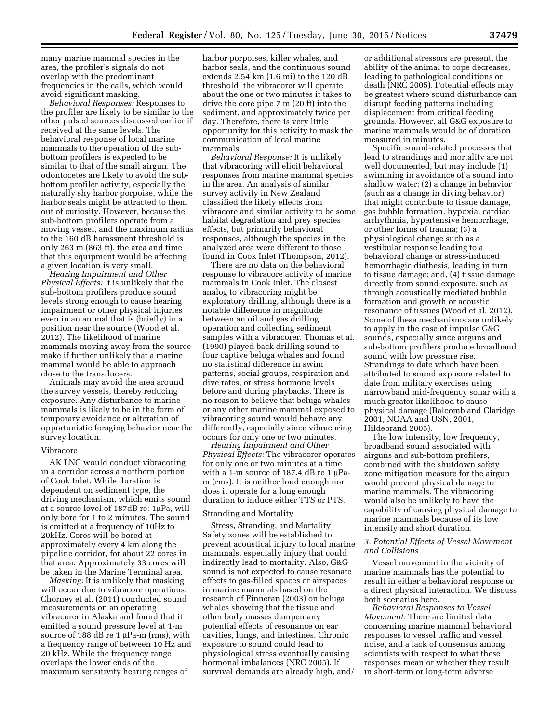many marine mammal species in the area, the profiler's signals do not overlap with the predominant frequencies in the calls, which would avoid significant masking.

*Behavioral Responses:* Responses to the profiler are likely to be similar to the other pulsed sources discussed earlier if received at the same levels. The behavioral response of local marine mammals to the operation of the subbottom profilers is expected to be similar to that of the small airgun. The odontocetes are likely to avoid the subbottom profiler activity, especially the naturally shy harbor porpoise, while the harbor seals might be attracted to them out of curiosity. However, because the sub-bottom profilers operate from a moving vessel, and the maximum radius to the 160 dB harassment threshold is only 263 m (863 ft), the area and time that this equipment would be affecting a given location is very small.

*Hearing Impairment and Other Physical Effects:* It is unlikely that the sub-bottom profilers produce sound levels strong enough to cause hearing impairment or other physical injuries even in an animal that is (briefly) in a position near the source (Wood et al. 2012). The likelihood of marine mammals moving away from the source make if further unlikely that a marine mammal would be able to approach close to the transducers.

Animals may avoid the area around the survey vessels, thereby reducing exposure. Any disturbance to marine mammals is likely to be in the form of temporary avoidance or alteration of opportunistic foraging behavior near the survey location.

## Vibracore

AK LNG would conduct vibracoring in a corridor across a northern portion of Cook Inlet. While duration is dependent on sediment type, the driving mechanism, which emits sound at a source level of 187dB re: 1µPa, will only bore for 1 to 2 minutes. The sound is emitted at a frequency of 10Hz to 20kHz. Cores will be bored at approximately every 4 km along the pipeline corridor, for about 22 cores in that area. Approximately 33 cores will be taken in the Marine Terminal area.

*Masking:* It is unlikely that masking will occur due to vibracore operations. Chorney et al. (2011) conducted sound measurements on an operating vibracorer in Alaska and found that it emitted a sound pressure level at 1-m source of 188 dB re 1  $\mu$ Pa-m (rms), with a frequency range of between 10 Hz and 20 kHz. While the frequency range overlaps the lower ends of the maximum sensitivity hearing ranges of

harbor porpoises, killer whales, and harbor seals, and the continuous sound extends 2.54 km (1.6 mi) to the 120 dB threshold, the vibracorer will operate about the one or two minutes it takes to drive the core pipe 7 m (20 ft) into the sediment, and approximately twice per day. Therefore, there is very little opportunity for this activity to mask the communication of local marine mammals.

*Behavioral Response:* It is unlikely that vibracoring will elicit behavioral responses from marine mammal species in the area. An analysis of similar survey activity in New Zealand classified the likely effects from vibracore and similar activity to be some habitat degradation and prey species effects, but primarily behavioral responses, although the species in the analyzed area were different to those found in Cook Inlet (Thompson, 2012).

There are no data on the behavioral response to vibracore activity of marine mammals in Cook Inlet. The closest analog to vibracoring might be exploratory drilling, although there is a notable difference in magnitude between an oil and gas drilling operation and collecting sediment samples with a vibracorer. Thomas et al. (1990) played back drilling sound to four captive beluga whales and found no statistical difference in swim patterns, social groups, respiration and dive rates, or stress hormone levels before and during playbacks. There is no reason to believe that beluga whales or any other marine mammal exposed to vibracoring sound would behave any differently, especially since vibracoring occurs for only one or two minutes.

*Hearing Impairment and Other Physical Effects:* The vibracorer operates for only one or two minutes at a time with a 1-m source of 187.4 dB re 1  $\mu$ Pam (rms). It is neither loud enough nor does it operate for a long enough duration to induce either TTS or PTS.

## Stranding and Mortality

Stress, Stranding, and Mortality Safety zones will be established to prevent acoustical injury to local marine mammals, especially injury that could indirectly lead to mortality. Also, G&G sound is not expected to cause resonate effects to gas-filled spaces or airspaces in marine mammals based on the research of Finneran (2003) on beluga whales showing that the tissue and other body masses dampen any potential effects of resonance on ear cavities, lungs, and intestines. Chronic exposure to sound could lead to physiological stress eventually causing hormonal imbalances (NRC 2005). If survival demands are already high, and/

or additional stressors are present, the ability of the animal to cope decreases, leading to pathological conditions or death (NRC 2005). Potential effects may be greatest where sound disturbance can disrupt feeding patterns including displacement from critical feeding grounds. However, all G&G exposure to marine mammals would be of duration measured in minutes.

Specific sound-related processes that lead to strandings and mortality are not well documented, but may include (1) swimming in avoidance of a sound into shallow water; (2) a change in behavior (such as a change in diving behavior) that might contribute to tissue damage, gas bubble formation, hypoxia, cardiac arrhythmia, hypertensive hemorrhage, or other forms of trauma; (3) a physiological change such as a vestibular response leading to a behavioral change or stress-induced hemorrhagic diathesis, leading in turn to tissue damage; and, (4) tissue damage directly from sound exposure, such as through acoustically mediated bubble formation and growth or acoustic resonance of tissues (Wood et al. 2012). Some of these mechanisms are unlikely to apply in the case of impulse G&G sounds, especially since airguns and sub-bottom profilers produce broadband sound with low pressure rise. Strandings to date which have been attributed to sound exposure related to date from military exercises using narrowband mid-frequency sonar with a much greater likelihood to cause physical damage (Balcomb and Claridge 2001, NOAA and USN, 2001, Hildebrand 2005).

The low intensity, low frequency, broadband sound associated with airguns and sub-bottom profilers, combined with the shutdown safety zone mitigation measure for the airgun would prevent physical damage to marine mammals. The vibracoring would also be unlikely to have the capability of causing physical damage to marine mammals because of its low intensity and short duration.

## *3. Potential Effects of Vessel Movement and Collisions*

Vessel movement in the vicinity of marine mammals has the potential to result in either a behavioral response or a direct physical interaction. We discuss both scenarios here.

*Behavioral Responses to Vessel Movement:* There are limited data concerning marine mammal behavioral responses to vessel traffic and vessel noise, and a lack of consensus among scientists with respect to what these responses mean or whether they result in short-term or long-term adverse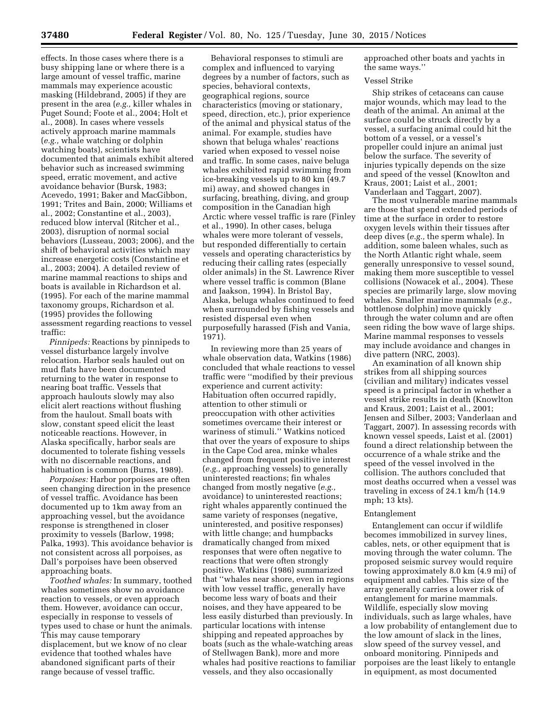effects. In those cases where there is a busy shipping lane or where there is a large amount of vessel traffic, marine mammals may experience acoustic masking (Hildebrand, 2005) if they are present in the area (*e.g.,* killer whales in Puget Sound; Foote et al., 2004; Holt et al., 2008). In cases where vessels actively approach marine mammals (*e.g.,* whale watching or dolphin watching boats), scientists have documented that animals exhibit altered behavior such as increased swimming speed, erratic movement, and active avoidance behavior (Bursk, 1983; Acevedo, 1991; Baker and MacGibbon, 1991; Trites and Bain, 2000; Williams et al., 2002; Constantine et al., 2003), reduced blow interval (Ritcher et al., 2003), disruption of normal social behaviors (Lusseau, 2003; 2006), and the shift of behavioral activities which may increase energetic costs (Constantine et al., 2003; 2004). A detailed review of marine mammal reactions to ships and boats is available in Richardson et al. (1995). For each of the marine mammal taxonomy groups, Richardson et al. (1995) provides the following assessment regarding reactions to vessel traffic:

*Pinnipeds:* Reactions by pinnipeds to vessel disturbance largely involve relocation. Harbor seals hauled out on mud flats have been documented returning to the water in response to nearing boat traffic. Vessels that approach haulouts slowly may also elicit alert reactions without flushing from the haulout. Small boats with slow, constant speed elicit the least noticeable reactions. However, in Alaska specifically, harbor seals are documented to tolerate fishing vessels with no discernable reactions, and habituation is common (Burns, 1989).

*Porpoises:* Harbor porpoises are often seen changing direction in the presence of vessel traffic. Avoidance has been documented up to 1km away from an approaching vessel, but the avoidance response is strengthened in closer proximity to vessels (Barlow, 1998; Palka, 1993). This avoidance behavior is not consistent across all porpoises, as Dall's porpoises have been observed approaching boats.

*Toothed whales:* In summary, toothed whales sometimes show no avoidance reaction to vessels, or even approach them. However, avoidance can occur, especially in response to vessels of types used to chase or hunt the animals. This may cause temporary displacement, but we know of no clear evidence that toothed whales have abandoned significant parts of their range because of vessel traffic.

Behavioral responses to stimuli are complex and influenced to varying degrees by a number of factors, such as species, behavioral contexts, geographical regions, source characteristics (moving or stationary, speed, direction, etc.), prior experience of the animal and physical status of the animal. For example, studies have shown that beluga whales' reactions varied when exposed to vessel noise and traffic. In some cases, naive beluga whales exhibited rapid swimming from ice-breaking vessels up to 80 km (49.7 mi) away, and showed changes in surfacing, breathing, diving, and group composition in the Canadian high Arctic where vessel traffic is rare (Finley et al., 1990). In other cases, beluga whales were more tolerant of vessels, but responded differentially to certain vessels and operating characteristics by reducing their calling rates (especially older animals) in the St. Lawrence River where vessel traffic is common (Blane and Jaakson, 1994). In Bristol Bay, Alaska, beluga whales continued to feed when surrounded by fishing vessels and resisted dispersal even when purposefully harassed (Fish and Vania, 1971).

In reviewing more than 25 years of whale observation data, Watkins (1986) concluded that whale reactions to vessel traffic were ''modified by their previous experience and current activity: Habituation often occurred rapidly, attention to other stimuli or preoccupation with other activities sometimes overcame their interest or wariness of stimuli.'' Watkins noticed that over the years of exposure to ships in the Cape Cod area, minke whales changed from frequent positive interest (*e.g.,* approaching vessels) to generally uninterested reactions; fin whales changed from mostly negative (*e.g.,*  avoidance) to uninterested reactions; right whales apparently continued the same variety of responses (negative, uninterested, and positive responses) with little change; and humpbacks dramatically changed from mixed responses that were often negative to reactions that were often strongly positive. Watkins (1986) summarized that ''whales near shore, even in regions with low vessel traffic, generally have become less wary of boats and their noises, and they have appeared to be less easily disturbed than previously. In particular locations with intense shipping and repeated approaches by boats (such as the whale-watching areas of Stellwagen Bank), more and more whales had positive reactions to familiar vessels, and they also occasionally

approached other boats and yachts in the same ways.''

## Vessel Strike

Ship strikes of cetaceans can cause major wounds, which may lead to the death of the animal. An animal at the surface could be struck directly by a vessel, a surfacing animal could hit the bottom of a vessel, or a vessel's propeller could injure an animal just below the surface. The severity of injuries typically depends on the size and speed of the vessel (Knowlton and Kraus, 2001; Laist et al., 2001; Vanderlaan and Taggart, 2007).

The most vulnerable marine mammals are those that spend extended periods of time at the surface in order to restore oxygen levels within their tissues after deep dives (*e.g.,* the sperm whale). In addition, some baleen whales, such as the North Atlantic right whale, seem generally unresponsive to vessel sound, making them more susceptible to vessel collisions (Nowacek et al., 2004). These species are primarily large, slow moving whales. Smaller marine mammals (*e.g.,*  bottlenose dolphin) move quickly through the water column and are often seen riding the bow wave of large ships. Marine mammal responses to vessels may include avoidance and changes in dive pattern (NRC, 2003).

An examination of all known ship strikes from all shipping sources (civilian and military) indicates vessel speed is a principal factor in whether a vessel strike results in death (Knowlton and Kraus, 2001; Laist et al., 2001; Jensen and Silber, 2003; Vanderlaan and Taggart, 2007). In assessing records with known vessel speeds, Laist et al. (2001) found a direct relationship between the occurrence of a whale strike and the speed of the vessel involved in the collision. The authors concluded that most deaths occurred when a vessel was traveling in excess of 24.1 km/h (14.9 mph; 13 kts).

## Entanglement

Entanglement can occur if wildlife becomes immobilized in survey lines, cables, nets, or other equipment that is moving through the water column. The proposed seismic survey would require towing approximately 8.0 km (4.9 mi) of equipment and cables. This size of the array generally carries a lower risk of entanglement for marine mammals. Wildlife, especially slow moving individuals, such as large whales, have a low probability of entanglement due to the low amount of slack in the lines, slow speed of the survey vessel, and onboard monitoring. Pinnipeds and porpoises are the least likely to entangle in equipment, as most documented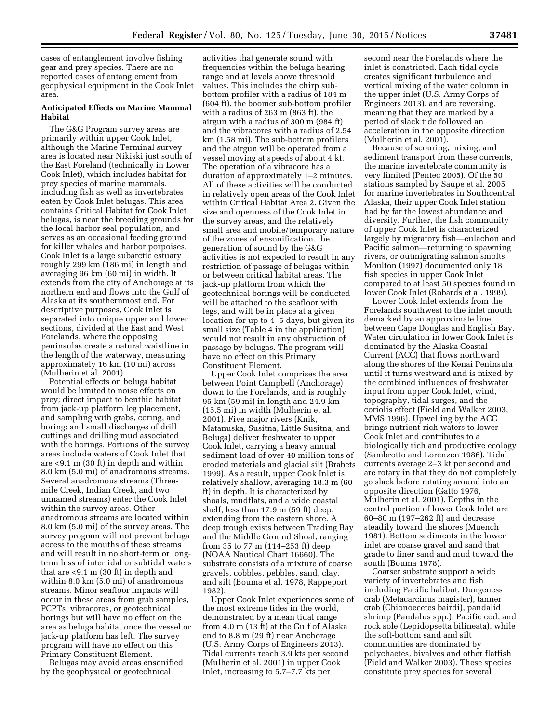cases of entanglement involve fishing gear and prey species. There are no reported cases of entanglement from geophysical equipment in the Cook Inlet area.

## **Anticipated Effects on Marine Mammal Habitat**

The G&G Program survey areas are primarily within upper Cook Inlet, although the Marine Terminal survey area is located near Nikiski just south of the East Foreland (technically in Lower Cook Inlet), which includes habitat for prey species of marine mammals, including fish as well as invertebrates eaten by Cook Inlet belugas. This area contains Critical Habitat for Cook Inlet belugas, is near the breeding grounds for the local harbor seal population, and serves as an occasional feeding ground for killer whales and harbor porpoises. Cook Inlet is a large subarctic estuary roughly 299 km (186 mi) in length and averaging 96 km (60 mi) in width. It extends from the city of Anchorage at its northern end and flows into the Gulf of Alaska at its southernmost end. For descriptive purposes, Cook Inlet is separated into unique upper and lower sections, divided at the East and West Forelands, where the opposing peninsulas create a natural waistline in the length of the waterway, measuring approximately 16 km (10 mi) across (Mulherin et al. 2001).

Potential effects on beluga habitat would be limited to noise effects on prey; direct impact to benthic habitat from jack-up platform leg placement, and sampling with grabs, coring, and boring; and small discharges of drill cuttings and drilling mud associated with the borings. Portions of the survey areas include waters of Cook Inlet that are <9.1 m (30 ft) in depth and within 8.0 km (5.0 mi) of anadromous streams. Several anadromous streams (Threemile Creek, Indian Creek, and two unnamed streams) enter the Cook Inlet within the survey areas. Other anadromous streams are located within 8.0 km (5.0 mi) of the survey areas. The survey program will not prevent beluga access to the mouths of these streams and will result in no short-term or longterm loss of intertidal or subtidal waters that are <9.1 m (30 ft) in depth and within 8.0 km (5.0 mi) of anadromous streams. Minor seafloor impacts will occur in these areas from grab samples, PCPTs, vibracores, or geotechnical borings but will have no effect on the area as beluga habitat once the vessel or jack-up platform has left. The survey program will have no effect on this Primary Constituent Element.

Belugas may avoid areas ensonified by the geophysical or geotechnical

activities that generate sound with frequencies within the beluga hearing range and at levels above threshold values. This includes the chirp subbottom profiler with a radius of 184 m (604 ft), the boomer sub-bottom profiler with a radius of 263 m (863 ft), the airgun with a radius of 300 m (984 ft) and the vibracores with a radius of 2.54 km (1.58 mi). The sub-bottom profilers and the airgun will be operated from a vessel moving at speeds of about 4 kt. The operation of a vibracore has a duration of approximately 1–2 minutes. All of these activities will be conducted in relatively open areas of the Cook Inlet within Critical Habitat Area 2. Given the size and openness of the Cook Inlet in the survey areas, and the relatively small area and mobile/temporary nature of the zones of ensonification, the generation of sound by the G&G activities is not expected to result in any restriction of passage of belugas within or between critical habitat areas. The jack-up platform from which the geotechnical borings will be conducted will be attached to the seafloor with legs, and will be in place at a given location for up to 4–5 days, but given its small size (Table 4 in the application) would not result in any obstruction of passage by belugas. The program will have no effect on this Primary Constituent Element.

Upper Cook Inlet comprises the area between Point Campbell (Anchorage) down to the Forelands, and is roughly 95 km (59 mi) in length and 24.9 km (15.5 mi) in width (Mulherin et al. 2001). Five major rivers (Knik, Matanuska, Susitna, Little Susitna, and Beluga) deliver freshwater to upper Cook Inlet, carrying a heavy annual sediment load of over 40 million tons of eroded materials and glacial silt (Brabets 1999). As a result, upper Cook Inlet is relatively shallow, averaging 18.3 m (60 ft) in depth. It is characterized by shoals, mudflats, and a wide coastal shelf, less than 17.9 m (59 ft) deep, extending from the eastern shore. A deep trough exists between Trading Bay and the Middle Ground Shoal, ranging from 35 to 77 m (114–253 ft) deep (NOAA Nautical Chart 16660). The substrate consists of a mixture of coarse gravels, cobbles, pebbles, sand, clay, and silt (Bouma et al. 1978, Rappeport 1982).

Upper Cook Inlet experiences some of the most extreme tides in the world, demonstrated by a mean tidal range from 4.0 m (13 ft) at the Gulf of Alaska end to 8.8 m (29 ft) near Anchorage (U.S. Army Corps of Engineers 2013). Tidal currents reach 3.9 kts per second (Mulherin et al. 2001) in upper Cook Inlet, increasing to 5.7–7.7 kts per

second near the Forelands where the inlet is constricted. Each tidal cycle creates significant turbulence and vertical mixing of the water column in the upper inlet (U.S. Army Corps of Engineers 2013), and are reversing, meaning that they are marked by a period of slack tide followed an acceleration in the opposite direction (Mulherin et al. 2001).

Because of scouring, mixing, and sediment transport from these currents, the marine invertebrate community is very limited (Pentec 2005). Of the 50 stations sampled by Saupe et al. 2005 for marine invertebrates in Southcentral Alaska, their upper Cook Inlet station had by far the lowest abundance and diversity. Further, the fish community of upper Cook Inlet is characterized largely by migratory fish—eulachon and Pacific salmon—returning to spawning rivers, or outmigrating salmon smolts. Moulton (1997) documented only 18 fish species in upper Cook Inlet compared to at least 50 species found in lower Cook Inlet (Robards et al. 1999).

Lower Cook Inlet extends from the Forelands southwest to the inlet mouth demarked by an approximate line between Cape Douglas and English Bay. Water circulation in lower Cook Inlet is dominated by the Alaska Coastal Current (ACC) that flows northward along the shores of the Kenai Peninsula until it turns westward and is mixed by the combined influences of freshwater input from upper Cook Inlet, wind, topography, tidal surges, and the coriolis effect (Field and Walker 2003, MMS 1996). Upwelling by the ACC brings nutrient-rich waters to lower Cook Inlet and contributes to a biologically rich and productive ecology (Sambrotto and Lorenzen 1986). Tidal currents average 2–3 kt per second and are rotary in that they do not completely go slack before rotating around into an opposite direction (Gatto 1976, Mulherin et al. 2001). Depths in the central portion of lower Cook Inlet are 60–80 m (197–262 ft) and decrease steadily toward the shores (Muench 1981). Bottom sediments in the lower inlet are coarse gravel and sand that grade to finer sand and mud toward the south (Bouma 1978).

Coarser substrate support a wide variety of invertebrates and fish including Pacific halibut, Dungeness crab (Metacarcinus magister), tanner crab (Chionoecetes bairdi), pandalid shrimp (Pandalus spp.), Pacific cod, and rock sole (Lepidopsetta bilineata), while the soft-bottom sand and silt communities are dominated by polychaetes, bivalves and other flatfish (Field and Walker 2003). These species constitute prey species for several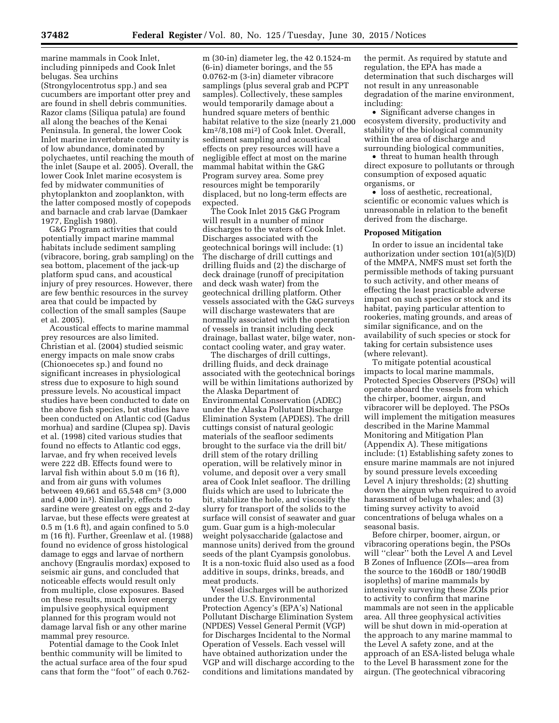marine mammals in Cook Inlet, including pinnipeds and Cook Inlet belugas. Sea urchins (Strongylocentrotus spp.) and sea cucumbers are important otter prey and are found in shell debris communities. Razor clams (Siliqua patula) are found all along the beaches of the Kenai Peninsula. In general, the lower Cook Inlet marine invertebrate community is of low abundance, dominated by polychaetes, until reaching the mouth of the inlet (Saupe et al. 2005). Overall, the lower Cook Inlet marine ecosystem is fed by midwater communities of phytoplankton and zooplankton, with the latter composed mostly of copepods and barnacle and crab larvae (Damkaer 1977, English 1980).

G&G Program activities that could potentially impact marine mammal habitats include sediment sampling (vibracore, boring, grab sampling) on the sea bottom, placement of the jack-up platform spud cans, and acoustical injury of prey resources. However, there are few benthic resources in the survey area that could be impacted by collection of the small samples (Saupe et al. 2005).

Acoustical effects to marine mammal prey resources are also limited. Christian et al. (2004) studied seismic energy impacts on male snow crabs (Chionoecetes sp.) and found no significant increases in physiological stress due to exposure to high sound pressure levels. No acoustical impact studies have been conducted to date on the above fish species, but studies have been conducted on Atlantic cod (Gadus morhua) and sardine (Clupea sp). Davis et al. (1998) cited various studies that found no effects to Atlantic cod eggs, larvae, and fry when received levels were 222 dB. Effects found were to larval fish within about 5.0 m (16 ft), and from air guns with volumes between 49,661 and 65,548 cm3 (3,000 and  $4,000$  in<sup>3</sup>). Similarly, effects to sardine were greatest on eggs and 2-day larvae, but these effects were greatest at 0.5 m (1.6 ft), and again confined to 5.0 m (16 ft). Further, Greenlaw et al. (1988) found no evidence of gross histological damage to eggs and larvae of northern anchovy (Engraulis mordax) exposed to seismic air guns, and concluded that noticeable effects would result only from multiple, close exposures. Based on these results, much lower energy impulsive geophysical equipment planned for this program would not damage larval fish or any other marine mammal prey resource.

Potential damage to the Cook Inlet benthic community will be limited to the actual surface area of the four spud cans that form the ''foot'' of each 0.762-

m (30-in) diameter leg, the 42 0.1524-m (6-in) diameter borings, and the 55 0.0762-m (3-in) diameter vibracore samplings (plus several grab and PCPT samples). Collectively, these samples would temporarily damage about a hundred square meters of benthic habitat relative to the size (nearly 21,000 km2/8,108 mi2) of Cook Inlet. Overall, sediment sampling and acoustical effects on prey resources will have a negligible effect at most on the marine mammal habitat within the G&G Program survey area. Some prey resources might be temporarily displaced, but no long-term effects are expected.

The Cook Inlet 2015 G&G Program will result in a number of minor discharges to the waters of Cook Inlet. Discharges associated with the geotechnical borings will include: (1) The discharge of drill cuttings and drilling fluids and (2) the discharge of deck drainage (runoff of precipitation and deck wash water) from the geotechnical drilling platform. Other vessels associated with the G&G surveys will discharge wastewaters that are normally associated with the operation of vessels in transit including deck drainage, ballast water, bilge water, noncontact cooling water, and gray water.

The discharges of drill cuttings, drilling fluids, and deck drainage associated with the geotechnical borings will be within limitations authorized by the Alaska Department of Environmental Conservation (ADEC) under the Alaska Pollutant Discharge Elimination System (APDES). The drill cuttings consist of natural geologic materials of the seafloor sediments brought to the surface via the drill bit/ drill stem of the rotary drilling operation, will be relatively minor in volume, and deposit over a very small area of Cook Inlet seafloor. The drilling fluids which are used to lubricate the bit, stabilize the hole, and viscosify the slurry for transport of the solids to the surface will consist of seawater and guar gum. Guar gum is a high-molecular weight polysaccharide (galactose and mannose units) derived from the ground seeds of the plant Cyampsis gonolobus. It is a non-toxic fluid also used as a food additive in soups, drinks, breads, and meat products.

Vessel discharges will be authorized under the U.S. Environmental Protection Agency's (EPA's) National Pollutant Discharge Elimination System (NPDES) Vessel General Permit (VGP) for Discharges Incidental to the Normal Operation of Vessels. Each vessel will have obtained authorization under the VGP and will discharge according to the conditions and limitations mandated by

the permit. As required by statute and regulation, the EPA has made a determination that such discharges will not result in any unreasonable degradation of the marine environment, including:

• Significant adverse changes in ecosystem diversity, productivity and stability of the biological community within the area of discharge and surrounding biological communities,

• threat to human health through direct exposure to pollutants or through consumption of exposed aquatic organisms, or

• loss of aesthetic, recreational, scientific or economic values which is unreasonable in relation to the benefit derived from the discharge.

#### **Proposed Mitigation**

In order to issue an incidental take authorization under section 101(a)(5)(D) of the MMPA, NMFS must set forth the permissible methods of taking pursuant to such activity, and other means of effecting the least practicable adverse impact on such species or stock and its habitat, paying particular attention to rookeries, mating grounds, and areas of similar significance, and on the availability of such species or stock for taking for certain subsistence uses (where relevant).

To mitigate potential acoustical impacts to local marine mammals, Protected Species Observers (PSOs) will operate aboard the vessels from which the chirper, boomer, airgun, and vibracorer will be deployed. The PSOs will implement the mitigation measures described in the Marine Mammal Monitoring and Mitigation Plan (Appendix A). These mitigations include: (1) Establishing safety zones to ensure marine mammals are not injured by sound pressure levels exceeding Level A injury thresholds; (2) shutting down the airgun when required to avoid harassment of beluga whales; and (3) timing survey activity to avoid concentrations of beluga whales on a seasonal basis.

Before chirper, boomer, airgun, or vibracoring operations begin, the PSOs will ''clear'' both the Level A and Level B Zones of Influence (ZOIs—area from the source to the 160dB or 180/190dB isopleths) of marine mammals by intensively surveying these ZOIs prior to activity to confirm that marine mammals are not seen in the applicable area. All three geophysical activities will be shut down in mid-operation at the approach to any marine mammal to the Level A safety zone, and at the approach of an ESA-listed beluga whale to the Level B harassment zone for the airgun. (The geotechnical vibracoring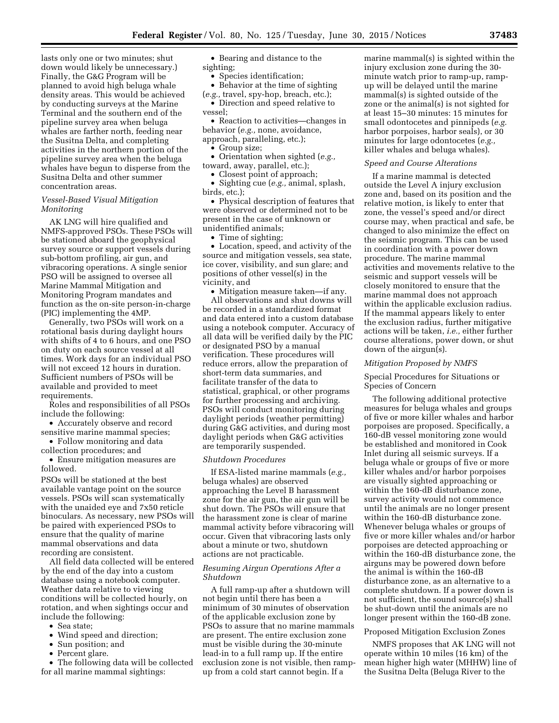lasts only one or two minutes; shut down would likely be unnecessary.) Finally, the G&G Program will be planned to avoid high beluga whale density areas. This would be achieved by conducting surveys at the Marine Terminal and the southern end of the pipeline survey area when beluga whales are farther north, feeding near the Susitna Delta, and completing activities in the northern portion of the pipeline survey area when the beluga whales have begun to disperse from the Susitna Delta and other summer concentration areas.

## *Vessel-Based Visual Mitigation Monitoring*

AK LNG will hire qualified and NMFS-approved PSOs. These PSOs will be stationed aboard the geophysical survey source or support vessels during sub-bottom profiling, air gun, and vibracoring operations. A single senior PSO will be assigned to oversee all Marine Mammal Mitigation and Monitoring Program mandates and function as the on-site person-in-charge (PIC) implementing the 4MP.

Generally, two PSOs will work on a rotational basis during daylight hours with shifts of 4 to 6 hours, and one PSO on duty on each source vessel at all times. Work days for an individual PSO will not exceed 12 hours in duration. Sufficient numbers of PSOs will be available and provided to meet requirements.

Roles and responsibilities of all PSOs include the following:

• Accurately observe and record sensitive marine mammal species;

• Follow monitoring and data collection procedures; and

• Ensure mitigation measures are followed.

PSOs will be stationed at the best available vantage point on the source vessels. PSOs will scan systematically with the unaided eye and 7x50 reticle binoculars. As necessary, new PSOs will be paired with experienced PSOs to ensure that the quality of marine mammal observations and data recording are consistent.

All field data collected will be entered by the end of the day into a custom database using a notebook computer. Weather data relative to viewing conditions will be collected hourly, on rotation, and when sightings occur and include the following:

- Sea state;
- Wind speed and direction;
- Sun position; and
- Percent glare.

• The following data will be collected for all marine mammal sightings:

• Bearing and distance to the sighting;

• Species identification;

• Behavior at the time of sighting (*e.g.,* travel, spy-hop, breach, etc.);

• Direction and speed relative to vessel;

• Reaction to activities—changes in behavior (*e.g.,* none, avoidance, approach, paralleling, etc.);

### • Group size;

• Orientation when sighted (*e.g.,*  toward, away, parallel, etc.);

• Closest point of approach;

• Sighting cue (*e.g.,* animal, splash, birds, etc.);

• Physical description of features that were observed or determined not to be present in the case of unknown or unidentified animals;

• Time of sighting;

• Location, speed, and activity of the source and mitigation vessels, sea state, ice cover, visibility, and sun glare; and positions of other vessel(s) in the vicinity, and

• Mitigation measure taken—if any. All observations and shut downs will be recorded in a standardized format and data entered into a custom database using a notebook computer. Accuracy of all data will be verified daily by the PIC or designated PSO by a manual verification. These procedures will reduce errors, allow the preparation of short-term data summaries, and facilitate transfer of the data to statistical, graphical, or other programs for further processing and archiving. PSOs will conduct monitoring during daylight periods (weather permitting) during G&G activities, and during most daylight periods when G&G activities are temporarily suspended.

### *Shutdown Procedures*

If ESA-listed marine mammals (*e.g.,*  beluga whales) are observed approaching the Level B harassment zone for the air gun, the air gun will be shut down. The PSOs will ensure that the harassment zone is clear of marine mammal activity before vibracoring will occur. Given that vibracoring lasts only about a minute or two, shutdown actions are not practicable.

## *Resuming Airgun Operations After a Shutdown*

A full ramp-up after a shutdown will not begin until there has been a minimum of 30 minutes of observation of the applicable exclusion zone by PSOs to assure that no marine mammals are present. The entire exclusion zone must be visible during the 30-minute lead-in to a full ramp up. If the entire exclusion zone is not visible, then rampup from a cold start cannot begin. If a

marine mammal(s) is sighted within the injury exclusion zone during the 30 minute watch prior to ramp-up, rampup will be delayed until the marine mammal(s) is sighted outside of the zone or the animal(s) is not sighted for at least 15–30 minutes: 15 minutes for small odontocetes and pinnipeds (*e.g.*  harbor porpoises, harbor seals), or 30 minutes for large odontocetes (*e.g.,*  killer whales and beluga whales).

### *Speed and Course Alterations*

If a marine mammal is detected outside the Level A injury exclusion zone and, based on its position and the relative motion, is likely to enter that zone, the vessel's speed and/or direct course may, when practical and safe, be changed to also minimize the effect on the seismic program. This can be used in coordination with a power down procedure. The marine mammal activities and movements relative to the seismic and support vessels will be closely monitored to ensure that the marine mammal does not approach within the applicable exclusion radius. If the mammal appears likely to enter the exclusion radius, further mitigative actions will be taken, *i.e.,* either further course alterations, power down, or shut down of the airgun(s).

#### *Mitigation Proposed by NMFS*

## Special Procedures for Situations or Species of Concern

The following additional protective measures for beluga whales and groups of five or more killer whales and harbor porpoises are proposed. Specifically, a 160-dB vessel monitoring zone would be established and monitored in Cook Inlet during all seismic surveys. If a beluga whale or groups of five or more killer whales and/or harbor porpoises are visually sighted approaching or within the 160-dB disturbance zone, survey activity would not commence until the animals are no longer present within the 160-dB disturbance zone. Whenever beluga whales or groups of five or more killer whales and/or harbor porpoises are detected approaching or within the 160-dB disturbance zone, the airguns may be powered down before the animal is within the 160-dB disturbance zone, as an alternative to a complete shutdown. If a power down is not sufficient, the sound source(s) shall be shut-down until the animals are no longer present within the 160-dB zone.

# Proposed Mitigation Exclusion Zones

NMFS proposes that AK LNG will not operate within 10 miles (16 km) of the mean higher high water (MHHW) line of the Susitna Delta (Beluga River to the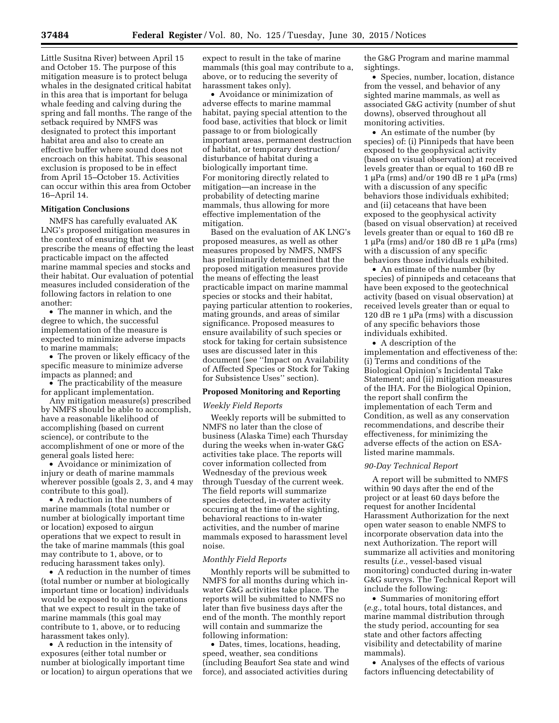Little Susitna River) between April 15 and October 15. The purpose of this mitigation measure is to protect beluga whales in the designated critical habitat in this area that is important for beluga whale feeding and calving during the spring and fall months. The range of the setback required by NMFS was designated to protect this important habitat area and also to create an effective buffer where sound does not encroach on this habitat. This seasonal exclusion is proposed to be in effect from April 15–October 15. Activities can occur within this area from October 16–April 14.

## **Mitigation Conclusions**

NMFS has carefully evaluated AK LNG's proposed mitigation measures in the context of ensuring that we prescribe the means of effecting the least practicable impact on the affected marine mammal species and stocks and their habitat. Our evaluation of potential measures included consideration of the following factors in relation to one another:

• The manner in which, and the degree to which, the successful implementation of the measure is expected to minimize adverse impacts to marine mammals;

• The proven or likely efficacy of the specific measure to minimize adverse impacts as planned; and

• The practicability of the measure for applicant implementation.

Any mitigation measure(s) prescribed by NMFS should be able to accomplish, have a reasonable likelihood of accomplishing (based on current science), or contribute to the accomplishment of one or more of the general goals listed here:

• Avoidance or minimization of injury or death of marine mammals wherever possible (goals 2, 3, and 4 may contribute to this goal).

• A reduction in the numbers of marine mammals (total number or number at biologically important time or location) exposed to airgun operations that we expect to result in the take of marine mammals (this goal may contribute to 1, above, or to reducing harassment takes only).

• A reduction in the number of times (total number or number at biologically important time or location) individuals would be exposed to airgun operations that we expect to result in the take of marine mammals (this goal may contribute to 1, above, or to reducing harassment takes only).

• A reduction in the intensity of exposures (either total number or number at biologically important time or location) to airgun operations that we

expect to result in the take of marine mammals (this goal may contribute to a, above, or to reducing the severity of harassment takes only).

• Avoidance or minimization of adverse effects to marine mammal habitat, paying special attention to the food base, activities that block or limit passage to or from biologically important areas, permanent destruction of habitat, or temporary destruction/ disturbance of habitat during a biologically important time. For monitoring directly related to mitigation—an increase in the probability of detecting marine mammals, thus allowing for more effective implementation of the mitigation.

Based on the evaluation of AK LNG's proposed measures, as well as other measures proposed by NMFS, NMFS has preliminarily determined that the proposed mitigation measures provide the means of effecting the least practicable impact on marine mammal species or stocks and their habitat, paying particular attention to rookeries, mating grounds, and areas of similar significance. Proposed measures to ensure availability of such species or stock for taking for certain subsistence uses are discussed later in this document (see ''Impact on Availability of Affected Species or Stock for Taking for Subsistence Uses'' section).

### **Proposed Monitoring and Reporting**

### *Weekly Field Reports*

Weekly reports will be submitted to NMFS no later than the close of business (Alaska Time) each Thursday during the weeks when in-water G&G activities take place. The reports will cover information collected from Wednesday of the previous week through Tuesday of the current week. The field reports will summarize species detected, in-water activity occurring at the time of the sighting, behavioral reactions to in-water activities, and the number of marine mammals exposed to harassment level noise.

## *Monthly Field Reports*

Monthly reports will be submitted to NMFS for all months during which inwater G&G activities take place. The reports will be submitted to NMFS no later than five business days after the end of the month. The monthly report will contain and summarize the following information:

• Dates, times, locations, heading, speed, weather, sea conditions (including Beaufort Sea state and wind force), and associated activities during

the G&G Program and marine mammal sightings.

• Species, number, location, distance from the vessel, and behavior of any sighted marine mammals, as well as associated G&G activity (number of shut downs), observed throughout all monitoring activities.

• An estimate of the number (by species) of: (i) Pinnipeds that have been exposed to the geophysical activity (based on visual observation) at received levels greater than or equal to 160 dB re  $1 \mu Pa$  (rms) and/or 190 dB re  $1 \mu Pa$  (rms) with a discussion of any specific behaviors those individuals exhibited; and (ii) cetaceans that have been exposed to the geophysical activity (based on visual observation) at received levels greater than or equal to 160 dB re 1 µPa (rms) and/or 180 dB re 1 µPa (rms) with a discussion of any specific behaviors those individuals exhibited.

• An estimate of the number (by species) of pinnipeds and cetaceans that have been exposed to the geotechnical activity (based on visual observation) at received levels greater than or equal to 120 dB re 1  $\mu$ Pa (rms) with a discussion of any specific behaviors those individuals exhibited.

• A description of the implementation and effectiveness of the: (i) Terms and conditions of the Biological Opinion's Incidental Take Statement; and (ii) mitigation measures of the IHA. For the Biological Opinion, the report shall confirm the implementation of each Term and Condition, as well as any conservation recommendations, and describe their effectiveness, for minimizing the adverse effects of the action on ESAlisted marine mammals.

### *90-Day Technical Report*

A report will be submitted to NMFS within 90 days after the end of the project or at least 60 days before the request for another Incidental Harassment Authorization for the next open water season to enable NMFS to incorporate observation data into the next Authorization. The report will summarize all activities and monitoring results (*i.e.,* vessel-based visual monitoring) conducted during in-water G&G surveys. The Technical Report will include the following:

• Summaries of monitoring effort (*e.g.,* total hours, total distances, and marine mammal distribution through the study period, accounting for sea state and other factors affecting visibility and detectability of marine mammals).

• Analyses of the effects of various factors influencing detectability of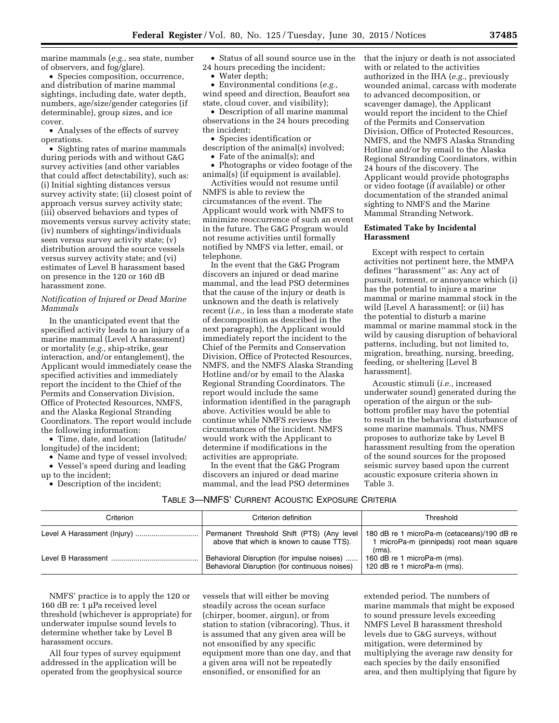marine mammals (*e.g.,* sea state, number of observers, and fog/glare).

• Species composition, occurrence, and distribution of marine mammal sightings, including date, water depth, numbers, age/size/gender categories (if determinable), group sizes, and ice cover.

• Analyses of the effects of survey operations.

• Sighting rates of marine mammals during periods with and without G&G survey activities (and other variables that could affect detectability), such as: (i) Initial sighting distances versus survey activity state; (ii) closest point of approach versus survey activity state; (iii) observed behaviors and types of movements versus survey activity state; (iv) numbers of sightings/individuals seen versus survey activity state; (v) distribution around the source vessels versus survey activity state; and (vi) estimates of Level B harassment based on presence in the 120 or 160 dB harassment zone.

## *Notification of Injured or Dead Marine Mammals*

In the unanticipated event that the specified activity leads to an injury of a marine mammal (Level A harassment) or mortality (*e.g.,* ship-strike, gear interaction, and/or entanglement), the Applicant would immediately cease the specified activities and immediately report the incident to the Chief of the Permits and Conservation Division, Office of Protected Resources, NMFS, and the Alaska Regional Stranding Coordinators. The report would include the following information:

• Time, date, and location (latitude/ longitude) of the incident;

• Name and type of vessel involved; • Vessel's speed during and leading up to the incident;

• Description of the incident;

• Status of all sound source use in the 24 hours preceding the incident;

• Water depth;

• Environmental conditions (*e.g.,*  wind speed and direction, Beaufort sea state, cloud cover, and visibility);

• Description of all marine mammal observations in the 24 hours preceding the incident;

• Species identification or description of the animal(s) involved;

• Fate of the animal(s); and

• Photographs or video footage of the animal(s) (if equipment is available).

Activities would not resume until NMFS is able to review the circumstances of the event. The Applicant would work with NMFS to minimize reoccurrence of such an event in the future. The G&G Program would not resume activities until formally notified by NMFS via letter, email, or telephone.

In the event that the G&G Program discovers an injured or dead marine mammal, and the lead PSO determines that the cause of the injury or death is unknown and the death is relatively recent (*i.e.,* in less than a moderate state of decomposition as described in the next paragraph), the Applicant would immediately report the incident to the Chief of the Permits and Conservation Division, Office of Protected Resources, NMFS, and the NMFS Alaska Stranding Hotline and/or by email to the Alaska Regional Stranding Coordinators. The report would include the same information identified in the paragraph above. Activities would be able to continue while NMFS reviews the circumstances of the incident. NMFS would work with the Applicant to determine if modifications in the activities are appropriate.

In the event that the G&G Program discovers an injured or dead marine mammal, and the lead PSO determines that the injury or death is not associated with or related to the activities authorized in the IHA (*e.g.,* previously wounded animal, carcass with moderate to advanced decomposition, or scavenger damage), the Applicant would report the incident to the Chief of the Permits and Conservation Division, Office of Protected Resources, NMFS, and the NMFS Alaska Stranding Hotline and/or by email to the Alaska Regional Stranding Coordinators, within 24 hours of the discovery. The Applicant would provide photographs or video footage (if available) or other documentation of the stranded animal sighting to NMFS and the Marine Mammal Stranding Network.

## **Estimated Take by Incidental Harassment**

Except with respect to certain activities not pertinent here, the MMPA defines ''harassment'' as: Any act of pursuit, torment, or annoyance which (i) has the potential to injure a marine mammal or marine mammal stock in the wild [Level A harassment]; or (ii) has the potential to disturb a marine mammal or marine mammal stock in the wild by causing disruption of behavioral patterns, including, but not limited to, migration, breathing, nursing, breeding, feeding, or sheltering [Level B harassment].

Acoustic stimuli (*i.e.,* increased underwater sound) generated during the operation of the airgun or the subbottom profiler may have the potential to result in the behavioral disturbance of some marine mammals. Thus, NMFS proposes to authorize take by Level B harassment resulting from the operation of the sound sources for the proposed seismic survey based upon the current acoustic exposure criteria shown in Table 3.

## TABLE 3—NMFS' CURRENT ACOUSTIC EXPOSURE CRITERIA

| Criterion | Criterion definition                                                                        | Threshold                                                                               |
|-----------|---------------------------------------------------------------------------------------------|-----------------------------------------------------------------------------------------|
|           | Permanent Threshold Shift (PTS) (Any level<br>above that which is known to cause TTS).      | 180 dB re 1 microPa-m (cetaceans)/190 dB re<br>1 microPa-m (pinnipeds) root mean square |
|           | Behavioral Disruption (for impulse noises)<br>Behavioral Disruption (for continuous noises) | $(rms)$ .<br>160 dB re 1 microPa-m (rms).<br>120 dB re 1 microPa-m (rms).               |

NMFS' practice is to apply the 120 or 160 dB re: 1 µPa received level threshold (whichever is appropriate) for underwater impulse sound levels to determine whether take by Level B harassment occurs.

All four types of survey equipment addressed in the application will be operated from the geophysical source vessels that will either be moving steadily across the ocean surface (chirper, boomer, airgun), or from station to station (vibracoring). Thus, it is assumed that any given area will be not ensonified by any specific equipment more than one day, and that a given area will not be repeatedly ensonified, or ensonified for an

extended period. The numbers of marine mammals that might be exposed to sound pressure levels exceeding NMFS Level B harassment threshold levels due to G&G surveys, without mitigation, were determined by multiplying the average raw density for each species by the daily ensonified area, and then multiplying that figure by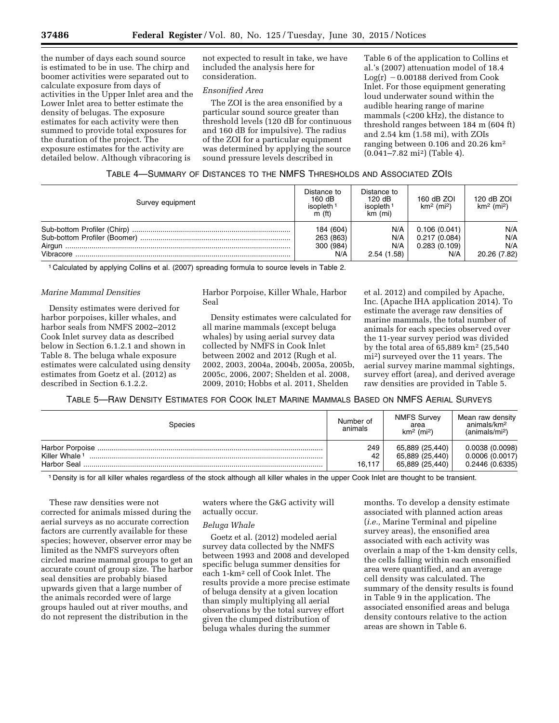the number of days each sound source is estimated to be in use. The chirp and boomer activities were separated out to calculate exposure from days of activities in the Upper Inlet area and the Lower Inlet area to better estimate the density of belugas. The exposure estimates for each activity were then summed to provide total exposures for the duration of the project. The exposure estimates for the activity are detailed below. Although vibracoring is

not expected to result in take, we have included the analysis here for consideration.

## *Ensonified Area*

The ZOI is the area ensonified by a particular sound source greater than threshold levels (120 dB for continuous and 160 dB for impulsive). The radius of the ZOI for a particular equipment was determined by applying the source sound pressure levels described in

Table 6 of the application to Collins et al.'s (2007) attenuation model of 18.4  $Log(r) - 0.00188$  derived from Cook Inlet. For those equipment generating loud underwater sound within the audible hearing range of marine mammals (<200 kHz), the distance to threshold ranges between 184 m (604 ft) and 2.54 km (1.58 mi), with ZOIs ranging between 0.106 and 20.26 km2 (0.041–7.82 mi2) (Table 4).

| Survey equipment | Distance to<br>160 dB<br>isopleth<br>$\dot{m}$ (ft) | Distance to<br>120 dB<br>isopleth <sup>1</sup><br>km (mi) | 160 dB ZOI<br>$km2$ (mi <sup>2</sup> ) | 120 dB ZOI<br>$km2$ (mi <sup>2</sup> ) |
|------------------|-----------------------------------------------------|-----------------------------------------------------------|----------------------------------------|----------------------------------------|
|                  | 184 (604)                                           | N/A                                                       | 0.106(0.041)                           | N/A                                    |
|                  | 263 (863)                                           | N/A                                                       | 0.217(0.084)                           | N/A                                    |
|                  | 300 (984)                                           | N/A                                                       | 0.283(0.109)                           | N/A                                    |
|                  | N/A                                                 | 2.54(1.58)                                                | N/A                                    | 20.26 (7.82)                           |

1 Calculated by applying Collins et al. (2007) spreading formula to source levels in Table 2.

## *Marine Mammal Densities*

Density estimates were derived for harbor porpoises, killer whales, and harbor seals from NMFS 2002–2012 Cook Inlet survey data as described below in Section 6.1.2.1 and shown in Table 8. The beluga whale exposure estimates were calculated using density estimates from Goetz et al. (2012) as described in Section 6.1.2.2.

Harbor Porpoise, Killer Whale, Harbor Seal

Density estimates were calculated for all marine mammals (except beluga whales) by using aerial survey data collected by NMFS in Cook Inlet between 2002 and 2012 (Rugh et al. 2002, 2003, 2004a, 2004b, 2005a, 2005b, 2005c, 2006, 2007; Shelden et al. 2008, 2009, 2010; Hobbs et al. 2011, Shelden

et al. 2012) and compiled by Apache, Inc. (Apache IHA application 2014). To estimate the average raw densities of marine mammals, the total number of animals for each species observed over the 11-year survey period was divided by the total area of 65,889 km2 (25,540 mi2) surveyed over the 11 years. The aerial survey marine mammal sightings, survey effort (area), and derived average raw densities are provided in Table 5.

## TABLE 5—RAW DENSITY ESTIMATES FOR COOK INLET MARINE MAMMALS BASED ON NMFS AERIAL SURVEYS

| Species                                  | Number of<br>animals | <b>NMFS Survey</b><br>area<br>km <sup>2</sup> (mi <sup>2</sup> ) | Mean raw density<br>animals/km <sup>2</sup><br>(animals/mi <sup>2</sup> ) |
|------------------------------------------|----------------------|------------------------------------------------------------------|---------------------------------------------------------------------------|
| Killer Whale <sup>1</sup><br>Harbor Seal | 249<br>42<br>16.117  | 65,889 (25,440)<br>65,889 (25,440)<br>65,889 (25,440)            | 0.0038(0.0098)<br>0.0006(0.0017)<br>0.2446 (0.6335)                       |

1 Density is for all killer whales regardless of the stock although all killer whales in the upper Cook Inlet are thought to be transient.

These raw densities were not corrected for animals missed during the aerial surveys as no accurate correction factors are currently available for these species; however, observer error may be limited as the NMFS surveyors often circled marine mammal groups to get an accurate count of group size. The harbor seal densities are probably biased upwards given that a large number of the animals recorded were of large groups hauled out at river mouths, and do not represent the distribution in the

waters where the G&G activity will actually occur.

#### *Beluga Whale*

Goetz et al. (2012) modeled aerial survey data collected by the NMFS between 1993 and 2008 and developed specific beluga summer densities for each 1-km2 cell of Cook Inlet. The results provide a more precise estimate of beluga density at a given location than simply multiplying all aerial observations by the total survey effort given the clumped distribution of beluga whales during the summer

months. To develop a density estimate associated with planned action areas (*i.e.,* Marine Terminal and pipeline survey areas), the ensonified area associated with each activity was overlain a map of the 1-km density cells, the cells falling within each ensonified area were quantified, and an average cell density was calculated. The summary of the density results is found in Table 9 in the application. The associated ensonified areas and beluga density contours relative to the action areas are shown in Table 6.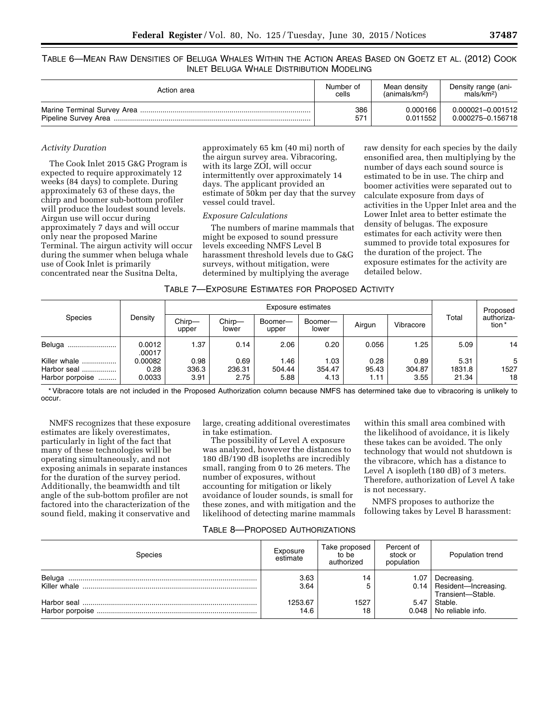TABLE 6—MEAN RAW DENSITIES OF BELUGA WHALES WITHIN THE ACTION AREAS BASED ON GOETZ ET AL. (2012) COOK INLET BELUGA WHALE DISTRIBUTION MODELING

| Action area | Number of | Mean density            | Density range (ani-  |
|-------------|-----------|-------------------------|----------------------|
|             | cells     | $(\text{animals/km}^2)$ | mals/km <sup>2</sup> |
|             | 386       | 0.000166                | 0.000021-0.001512    |
|             | 571       | 0.011552                | 0.000275-0.156718    |

## *Activity Duration*

The Cook Inlet 2015 G&G Program is expected to require approximately 12 weeks (84 days) to complete. During approximately 63 of these days, the chirp and boomer sub-bottom profiler will produce the loudest sound levels. Airgun use will occur during approximately 7 days and will occur only near the proposed Marine Terminal. The airgun activity will occur during the summer when beluga whale use of Cook Inlet is primarily concentrated near the Susitna Delta,

approximately 65 km (40 mi) north of the airgun survey area. Vibracoring, with its large ZOI, will occur intermittently over approximately 14 days. The applicant provided an estimate of 50km per day that the survey vessel could travel.

## *Exposure Calculations*

The numbers of marine mammals that might be exposed to sound pressure levels exceeding NMFS Level B harassment threshold levels due to G&G surveys, without mitigation, were determined by multiplying the average

raw density for each species by the daily ensonified area, then multiplying by the number of days each sound source is estimated to be in use. The chirp and boomer activities were separated out to calculate exposure from days of activities in the Upper Inlet area and the Lower Inlet area to better estimate the density of belugas. The exposure estimates for each activity were then summed to provide total exposures for the duration of the project. The exposure estimates for the activity are detailed below.

| TABLE 7—EXPOSURE ESTIMATES FOR PROPOSED ACTIVITY |  |  |  |
|--------------------------------------------------|--|--|--|
|--------------------------------------------------|--|--|--|

|                                                    |                           | Exposure estimates    |                        |                        |                        |                       |                        |                         | Proposed             |
|----------------------------------------------------|---------------------------|-----------------------|------------------------|------------------------|------------------------|-----------------------|------------------------|-------------------------|----------------------|
| Species                                            | Density                   | Chirp-<br>upper       | Chirp-<br>lower        | Boomer-<br>upper       | Boomer-<br>lower       | Airgun                | Vibracore              | Total                   | authoriza-<br>tion * |
| Beluga<br>                                         | 0.0012<br>.00017          | 1.37                  | 0.14                   | 2.06                   | 0.20                   | 0.056                 | 1.25                   | 5.09                    | 14                   |
| Killer whale<br>Harbor seal<br><br>Harbor porpoise | 0.00082<br>0.28<br>0.0033 | 0.98<br>336.3<br>3.91 | 0.69<br>236.31<br>2.75 | 1.46<br>504.44<br>5.88 | 1.03<br>354.47<br>4.13 | 0.28<br>95.43<br>1.11 | 0.89<br>304.87<br>3.55 | 5.31<br>1831.8<br>21.34 | 5<br>1527<br>18      |

\* Vibracore totals are not included in the Proposed Authorization column because NMFS has determined take due to vibracoring is unlikely to occur.

NMFS recognizes that these exposure estimates are likely overestimates, particularly in light of the fact that many of these technologies will be operating simultaneously, and not exposing animals in separate instances for the duration of the survey period. Additionally, the beamwidth and tilt angle of the sub-bottom profiler are not factored into the characterization of the sound field, making it conservative and

large, creating additional overestimates in take estimation.

The possibility of Level A exposure was analyzed, however the distances to 180 dB/190 dB isopleths are incredibly small, ranging from 0 to 26 meters. The number of exposures, without accounting for mitigation or likely avoidance of louder sounds, is small for these zones, and with mitigation and the likelihood of detecting marine mammals

within this small area combined with the likelihood of avoidance, it is likely these takes can be avoided. The only technology that would not shutdown is the vibracore, which has a distance to Level A isopleth (180 dB) of 3 meters. Therefore, authorization of Level A take is not necessary.

NMFS proposes to authorize the following takes by Level B harassment:

## TABLE 8—PROPOSED AUTHORIZATIONS

| Species                | Exposure<br>estimate | Take proposed<br>to be<br>authorized | Percent of<br>stock or<br>population | Population trend                                                |
|------------------------|----------------------|--------------------------------------|--------------------------------------|-----------------------------------------------------------------|
| Beluga<br>Killer whale | 3.63<br>3.64         | 14                                   | 1.07                                 | Decreasing.<br>0.14   Resident-Increasing.<br>Transient-Stable. |
|                        | 1253.67<br>14.6      | 1527<br>18                           | 5.47                                 | Stable.<br>0.048   No reliable info.                            |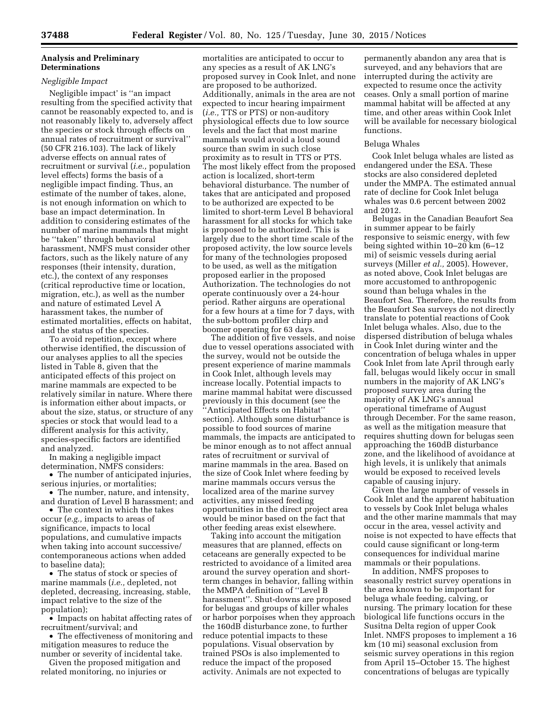## **Analysis and Preliminary Determinations**

## *Negligible Impact*

Negligible impact' is ''an impact resulting from the specified activity that cannot be reasonably expected to, and is not reasonably likely to, adversely affect the species or stock through effects on annual rates of recruitment or survival'' (50 CFR 216.103). The lack of likely adverse effects on annual rates of recruitment or survival (*i.e.,* population level effects) forms the basis of a negligible impact finding. Thus, an estimate of the number of takes, alone, is not enough information on which to base an impact determination. In addition to considering estimates of the number of marine mammals that might be ''taken'' through behavioral harassment, NMFS must consider other factors, such as the likely nature of any responses (their intensity, duration, etc.), the context of any responses (critical reproductive time or location, migration, etc.), as well as the number and nature of estimated Level A harassment takes, the number of estimated mortalities, effects on habitat, and the status of the species.

To avoid repetition, except where otherwise identified, the discussion of our analyses applies to all the species listed in Table 8, given that the anticipated effects of this project on marine mammals are expected to be relatively similar in nature. Where there is information either about impacts, or about the size, status, or structure of any species or stock that would lead to a different analysis for this activity, species-specific factors are identified and analyzed.

In making a negligible impact determination, NMFS considers:

• The number of anticipated injuries, serious injuries, or mortalities;

• The number, nature, and intensity, and duration of Level B harassment; and

• The context in which the takes occur (*e.g.,* impacts to areas of significance, impacts to local populations, and cumulative impacts when taking into account successive/ contemporaneous actions when added to baseline data);

• The status of stock or species of marine mammals (*i.e.,* depleted, not depleted, decreasing, increasing, stable, impact relative to the size of the population);

• Impacts on habitat affecting rates of recruitment/survival; and

• The effectiveness of monitoring and mitigation measures to reduce the number or severity of incidental take.

Given the proposed mitigation and related monitoring, no injuries or

mortalities are anticipated to occur to any species as a result of AK LNG's proposed survey in Cook Inlet, and none are proposed to be authorized. Additionally, animals in the area are not expected to incur hearing impairment (*i.e.,* TTS or PTS) or non-auditory physiological effects due to low source levels and the fact that most marine mammals would avoid a loud sound source than swim in such close proximity as to result in TTS or PTS. The most likely effect from the proposed action is localized, short-term behavioral disturbance. The number of takes that are anticipated and proposed to be authorized are expected to be limited to short-term Level B behavioral harassment for all stocks for which take is proposed to be authorized. This is largely due to the short time scale of the proposed activity, the low source levels for many of the technologies proposed to be used, as well as the mitigation proposed earlier in the proposed Authorization. The technologies do not operate continuously over a 24-hour period. Rather airguns are operational for a few hours at a time for 7 days, with the sub-bottom profiler chirp and boomer operating for 63 days.

The addition of five vessels, and noise due to vessel operations associated with the survey, would not be outside the present experience of marine mammals in Cook Inlet, although levels may increase locally. Potential impacts to marine mammal habitat were discussed previously in this document (see the ''Anticipated Effects on Habitat'' section). Although some disturbance is possible to food sources of marine mammals, the impacts are anticipated to be minor enough as to not affect annual rates of recruitment or survival of marine mammals in the area. Based on the size of Cook Inlet where feeding by marine mammals occurs versus the localized area of the marine survey activities, any missed feeding opportunities in the direct project area would be minor based on the fact that other feeding areas exist elsewhere.

Taking into account the mitigation measures that are planned, effects on cetaceans are generally expected to be restricted to avoidance of a limited area around the survey operation and shortterm changes in behavior, falling within the MMPA definition of ''Level B harassment''. Shut-downs are proposed for belugas and groups of killer whales or harbor porpoises when they approach the 160dB disturbance zone, to further reduce potential impacts to these populations. Visual observation by trained PSOs is also implemented to reduce the impact of the proposed activity. Animals are not expected to

permanently abandon any area that is surveyed, and any behaviors that are interrupted during the activity are expected to resume once the activity ceases. Only a small portion of marine mammal habitat will be affected at any time, and other areas within Cook Inlet will be available for necessary biological functions.

### Beluga Whales

Cook Inlet beluga whales are listed as endangered under the ESA. These stocks are also considered depleted under the MMPA. The estimated annual rate of decline for Cook Inlet beluga whales was 0.6 percent between 2002 and 2012.

Belugas in the Canadian Beaufort Sea in summer appear to be fairly responsive to seismic energy, with few being sighted within 10–20 km (6–12 mi) of seismic vessels during aerial surveys (Miller *et al.,* 2005). However, as noted above, Cook Inlet belugas are more accustomed to anthropogenic sound than beluga whales in the Beaufort Sea. Therefore, the results from the Beaufort Sea surveys do not directly translate to potential reactions of Cook Inlet beluga whales. Also, due to the dispersed distribution of beluga whales in Cook Inlet during winter and the concentration of beluga whales in upper Cook Inlet from late April through early fall, belugas would likely occur in small numbers in the majority of AK LNG's proposed survey area during the majority of AK LNG's annual operational timeframe of August through December. For the same reason, as well as the mitigation measure that requires shutting down for belugas seen approaching the 160dB disturbance zone, and the likelihood of avoidance at high levels, it is unlikely that animals would be exposed to received levels capable of causing injury.

Given the large number of vessels in Cook Inlet and the apparent habituation to vessels by Cook Inlet beluga whales and the other marine mammals that may occur in the area, vessel activity and noise is not expected to have effects that could cause significant or long-term consequences for individual marine mammals or their populations.

In addition, NMFS proposes to seasonally restrict survey operations in the area known to be important for beluga whale feeding, calving, or nursing. The primary location for these biological life functions occurs in the Susitna Delta region of upper Cook Inlet. NMFS proposes to implement a 16 km (10 mi) seasonal exclusion from seismic survey operations in this region from April 15–October 15. The highest concentrations of belugas are typically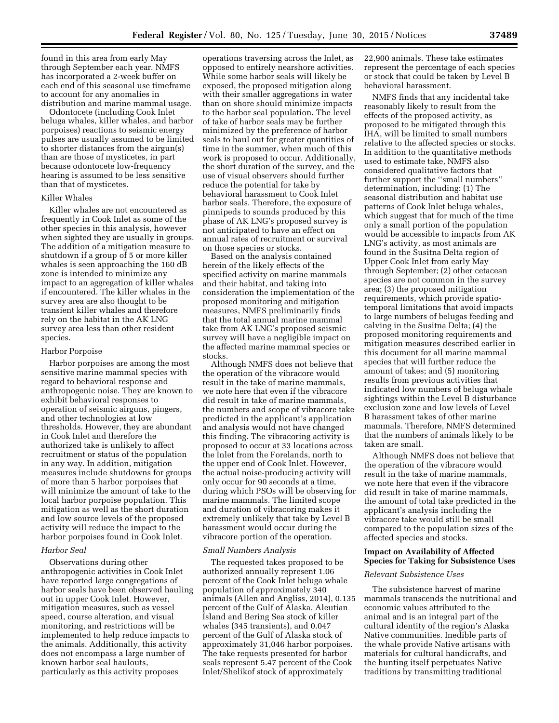found in this area from early May through September each year. NMFS has incorporated a 2-week buffer on each end of this seasonal use timeframe to account for any anomalies in distribution and marine mammal usage.

Odontocete (including Cook Inlet beluga whales, killer whales, and harbor porpoises) reactions to seismic energy pulses are usually assumed to be limited to shorter distances from the airgun(s) than are those of mysticetes, in part because odontocete low-frequency hearing is assumed to be less sensitive than that of mysticetes.

## Killer Whales

Killer whales are not encountered as frequently in Cook Inlet as some of the other species in this analysis, however when sighted they are usually in groups. The addition of a mitigation measure to shutdown if a group of 5 or more killer whales is seen approaching the 160 dB zone is intended to minimize any impact to an aggregation of killer whales if encountered. The killer whales in the survey area are also thought to be transient killer whales and therefore rely on the habitat in the AK LNG survey area less than other resident species.

### Harbor Porpoise

Harbor porpoises are among the most sensitive marine mammal species with regard to behavioral response and anthropogenic noise. They are known to exhibit behavioral responses to operation of seismic airguns, pingers, and other technologies at low thresholds. However, they are abundant in Cook Inlet and therefore the authorized take is unlikely to affect recruitment or status of the population in any way. In addition, mitigation measures include shutdowns for groups of more than 5 harbor porpoises that will minimize the amount of take to the local harbor porpoise population. This mitigation as well as the short duration and low source levels of the proposed activity will reduce the impact to the harbor porpoises found in Cook Inlet.

### *Harbor Seal*

Observations during other anthropogenic activities in Cook Inlet have reported large congregations of harbor seals have been observed hauling out in upper Cook Inlet. However, mitigation measures, such as vessel speed, course alteration, and visual monitoring, and restrictions will be implemented to help reduce impacts to the animals. Additionally, this activity does not encompass a large number of known harbor seal haulouts, particularly as this activity proposes

operations traversing across the Inlet, as opposed to entirely nearshore activities. While some harbor seals will likely be exposed, the proposed mitigation along with their smaller aggregations in water than on shore should minimize impacts to the harbor seal population. The level of take of harbor seals may be further minimized by the preference of harbor seals to haul out for greater quantities of time in the summer, when much of this work is proposed to occur. Additionally, the short duration of the survey, and the use of visual observers should further reduce the potential for take by behavioral harassment to Cook Inlet harbor seals. Therefore, the exposure of pinnipeds to sounds produced by this phase of AK LNG's proposed survey is not anticipated to have an effect on annual rates of recruitment or survival on those species or stocks.

Based on the analysis contained herein of the likely effects of the specified activity on marine mammals and their habitat, and taking into consideration the implementation of the proposed monitoring and mitigation measures, NMFS preliminarily finds that the total annual marine mammal take from AK LNG's proposed seismic survey will have a negligible impact on the affected marine mammal species or stocks.

Although NMFS does not believe that the operation of the vibracore would result in the take of marine mammals, we note here that even if the vibracore did result in take of marine mammals, the numbers and scope of vibracore take predicted in the applicant's application and analysis would not have changed this finding. The vibracoring activity is proposed to occur at 33 locations across the Inlet from the Forelands, north to the upper end of Cook Inlet. However, the actual noise-producing activity will only occur for 90 seconds at a time, during which PSOs will be observing for marine mammals. The limited scope and duration of vibracoring makes it extremely unlikely that take by Level B harassment would occur during the vibracore portion of the operation.

### *Small Numbers Analysis*

The requested takes proposed to be authorized annually represent 1.06 percent of the Cook Inlet beluga whale population of approximately 340 animals (Allen and Angliss, 2014), 0.135 percent of the Gulf of Alaska, Aleutian Island and Bering Sea stock of killer whales (345 transients), and 0.047 percent of the Gulf of Alaska stock of approximately 31,046 harbor porpoises. The take requests presented for harbor seals represent 5.47 percent of the Cook Inlet/Shelikof stock of approximately

22,900 animals. These take estimates represent the percentage of each species or stock that could be taken by Level B behavioral harassment.

NMFS finds that any incidental take reasonably likely to result from the effects of the proposed activity, as proposed to be mitigated through this IHA, will be limited to small numbers relative to the affected species or stocks. In addition to the quantitative methods used to estimate take, NMFS also considered qualitative factors that further support the ''small numbers'' determination, including: (1) The seasonal distribution and habitat use patterns of Cook Inlet beluga whales, which suggest that for much of the time only a small portion of the population would be accessible to impacts from AK LNG's activity, as most animals are found in the Susitna Delta region of Upper Cook Inlet from early May through September; (2) other cetacean species are not common in the survey area; (3) the proposed mitigation requirements, which provide spatiotemporal limitations that avoid impacts to large numbers of belugas feeding and calving in the Susitna Delta; (4) the proposed monitoring requirements and mitigation measures described earlier in this document for all marine mammal species that will further reduce the amount of takes; and (5) monitoring results from previous activities that indicated low numbers of beluga whale sightings within the Level B disturbance exclusion zone and low levels of Level B harassment takes of other marine mammals. Therefore, NMFS determined that the numbers of animals likely to be taken are small.

Although NMFS does not believe that the operation of the vibracore would result in the take of marine mammals, we note here that even if the vibracore did result in take of marine mammals, the amount of total take predicted in the applicant's analysis including the vibracore take would still be small compared to the population sizes of the affected species and stocks.

## **Impact on Availability of Affected Species for Taking for Subsistence Uses**

### *Relevant Subsistence Uses*

The subsistence harvest of marine mammals transcends the nutritional and economic values attributed to the animal and is an integral part of the cultural identity of the region's Alaska Native communities. Inedible parts of the whale provide Native artisans with materials for cultural handicrafts, and the hunting itself perpetuates Native traditions by transmitting traditional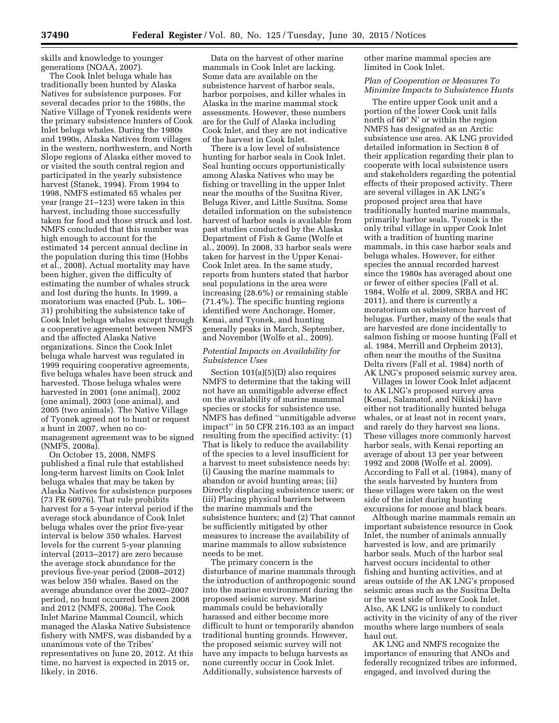skills and knowledge to younger generations (NOAA, 2007).

The Cook Inlet beluga whale has traditionally been hunted by Alaska Natives for subsistence purposes. For several decades prior to the 1980s, the Native Village of Tyonek residents were the primary subsistence hunters of Cook Inlet beluga whales. During the 1980s and 1990s, Alaska Natives from villages in the western, northwestern, and North Slope regions of Alaska either moved to or visited the south central region and participated in the yearly subsistence harvest (Stanek, 1994). From 1994 to 1998, NMFS estimated 65 whales per year (range 21–123) were taken in this harvest, including those successfully taken for food and those struck and lost. NMFS concluded that this number was high enough to account for the estimated 14 percent annual decline in the population during this time (Hobbs et al., 2008). Actual mortality may have been higher, given the difficulty of estimating the number of whales struck and lost during the hunts. In 1999, a moratorium was enacted (Pub. L. 106– 31) prohibiting the subsistence take of Cook Inlet beluga whales except through a cooperative agreement between NMFS and the affected Alaska Native organizations. Since the Cook Inlet beluga whale harvest was regulated in 1999 requiring cooperative agreements, five beluga whales have been struck and harvested. Those beluga whales were harvested in 2001 (one animal), 2002 (one animal), 2003 (one animal), and 2005 (two animals). The Native Village of Tyonek agreed not to hunt or request a hunt in 2007, when no comanagement agreement was to be signed (NMFS, 2008a).

On October 15, 2008, NMFS published a final rule that established long-term harvest limits on Cook Inlet beluga whales that may be taken by Alaska Natives for subsistence purposes (73 FR 60976). That rule prohibits harvest for a 5-year interval period if the average stock abundance of Cook Inlet beluga whales over the prior five-year interval is below 350 whales. Harvest levels for the current 5-year planning interval (2013–2017) are zero because the average stock abundance for the previous five-year period (2008–2012) was below 350 whales. Based on the average abundance over the 2002–2007 period, no hunt occurred between 2008 and 2012 (NMFS, 2008a). The Cook Inlet Marine Mammal Council, which managed the Alaska Native Subsistence fishery with NMFS, was disbanded by a unanimous vote of the Tribes' representatives on June 20, 2012. At this time, no harvest is expected in 2015 or, likely, in 2016.

Data on the harvest of other marine mammals in Cook Inlet are lacking. Some data are available on the subsistence harvest of harbor seals, harbor porpoises, and killer whales in Alaska in the marine mammal stock assessments. However, these numbers are for the Gulf of Alaska including Cook Inlet, and they are not indicative of the harvest in Cook Inlet.

There is a low level of subsistence hunting for harbor seals in Cook Inlet. Seal hunting occurs opportunistically among Alaska Natives who may be fishing or travelling in the upper Inlet near the mouths of the Susitna River, Beluga River, and Little Susitna. Some detailed information on the subsistence harvest of harbor seals is available from past studies conducted by the Alaska Department of Fish & Game (Wolfe et al., 2009). In 2008, 33 harbor seals were taken for harvest in the Upper Kenai-Cook Inlet area. In the same study, reports from hunters stated that harbor seal populations in the area were increasing (28.6%) or remaining stable (71.4%). The specific hunting regions identified were Anchorage, Homer, Kenai, and Tyonek, and hunting generally peaks in March, September, and November (Wolfe et al., 2009).

## *Potential Impacts on Availability for Subsistence Uses*

Section 101(a)(5)(D) also requires NMFS to determine that the taking will not have an unmitigable adverse effect on the availability of marine mammal species or stocks for subsistence use. NMFS has defined ''unmitigable adverse impact'' in 50 CFR 216.103 as an impact resulting from the specified activity: (1) That is likely to reduce the availability of the species to a level insufficient for a harvest to meet subsistence needs by: (i) Causing the marine mammals to abandon or avoid hunting areas; (ii) Directly displacing subsistence users; or (iii) Placing physical barriers between the marine mammals and the subsistence hunters; and (2) That cannot be sufficiently mitigated by other measures to increase the availability of marine mammals to allow subsistence needs to be met.

The primary concern is the disturbance of marine mammals through the introduction of anthropogenic sound into the marine environment during the proposed seismic survey. Marine mammals could be behaviorally harassed and either become more difficult to hunt or temporarily abandon traditional hunting grounds. However, the proposed seismic survey will not have any impacts to beluga harvests as none currently occur in Cook Inlet. Additionally, subsistence harvests of

other marine mammal species are limited in Cook Inlet.

## *Plan of Cooperation or Measures To Minimize Impacts to Subsistence Hunts*

The entire upper Cook unit and a portion of the lower Cook unit falls north of 60° N' or within the region NMFS has designated as an Arctic subsistence use area. AK LNG provided detailed information in Section 8 of their application regarding their plan to cooperate with local subsistence users and stakeholders regarding the potential effects of their proposed activity. There are several villages in AK LNG's proposed project area that have traditionally hunted marine mammals, primarily harbor seals. Tyonek is the only tribal village in upper Cook Inlet with a tradition of hunting marine mammals, in this case harbor seals and beluga whales. However, for either species the annual recorded harvest since the 1980s has averaged about one or fewer of either species (Fall et al. 1984, Wolfe et al. 2009, SRBA and HC 2011), and there is currently a moratorium on subsistence harvest of belugas. Further, many of the seals that are harvested are done incidentally to salmon fishing or moose hunting (Fall et al. 1984, Merrill and Orpheim 2013), often near the mouths of the Susitna Delta rivers (Fall et al. 1984) north of AK LNG's proposed seismic survey area.

Villages in lower Cook Inlet adjacent to AK LNG's proposed survey area (Kenai, Salamatof, and Nikiski) have either not traditionally hunted beluga whales, or at least not in recent years, and rarely do they harvest sea lions. These villages more commonly harvest harbor seals, with Kenai reporting an average of about 13 per year between 1992 and 2008 (Wolfe et al. 2009). According to Fall et al. (1984), many of the seals harvested by hunters from these villages were taken on the west side of the inlet during hunting excursions for moose and black bears.

Although marine mammals remain an important subsistence resource in Cook Inlet, the number of animals annually harvested is low, and are primarily harbor seals. Much of the harbor seal harvest occurs incidental to other fishing and hunting activities, and at areas outside of the AK LNG's proposed seismic areas such as the Susitna Delta or the west side of lower Cook Inlet. Also, AK LNG is unlikely to conduct activity in the vicinity of any of the river mouths where large numbers of seals haul out.

AK LNG and NMFS recognize the importance of ensuring that ANOs and federally recognized tribes are informed, engaged, and involved during the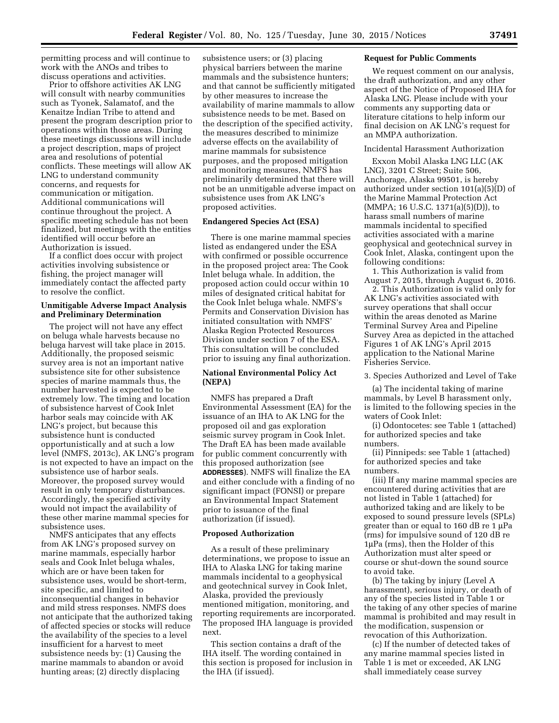permitting process and will continue to work with the ANOs and tribes to discuss operations and activities.

Prior to offshore activities AK LNG will consult with nearby communities such as Tyonek, Salamatof, and the Kenaitze Indian Tribe to attend and present the program description prior to operations within those areas. During these meetings discussions will include a project description, maps of project area and resolutions of potential conflicts. These meetings will allow AK LNG to understand community concerns, and requests for communication or mitigation. Additional communications will continue throughout the project. A specific meeting schedule has not been finalized, but meetings with the entities identified will occur before an Authorization is issued.

If a conflict does occur with project activities involving subsistence or fishing, the project manager will immediately contact the affected party to resolve the conflict.

## **Unmitigable Adverse Impact Analysis and Preliminary Determination**

The project will not have any effect on beluga whale harvests because no beluga harvest will take place in 2015. Additionally, the proposed seismic survey area is not an important native subsistence site for other subsistence species of marine mammals thus, the number harvested is expected to be extremely low. The timing and location of subsistence harvest of Cook Inlet harbor seals may coincide with AK LNG's project, but because this subsistence hunt is conducted opportunistically and at such a low level (NMFS, 2013c), AK LNG's program is not expected to have an impact on the subsistence use of harbor seals. Moreover, the proposed survey would result in only temporary disturbances. Accordingly, the specified activity would not impact the availability of these other marine mammal species for subsistence uses.

NMFS anticipates that any effects from AK LNG's proposed survey on marine mammals, especially harbor seals and Cook Inlet beluga whales, which are or have been taken for subsistence uses, would be short-term, site specific, and limited to inconsequential changes in behavior and mild stress responses. NMFS does not anticipate that the authorized taking of affected species or stocks will reduce the availability of the species to a level insufficient for a harvest to meet subsistence needs by: (1) Causing the marine mammals to abandon or avoid hunting areas; (2) directly displacing

subsistence users; or (3) placing physical barriers between the marine mammals and the subsistence hunters; and that cannot be sufficiently mitigated by other measures to increase the availability of marine mammals to allow subsistence needs to be met. Based on the description of the specified activity, the measures described to minimize adverse effects on the availability of marine mammals for subsistence purposes, and the proposed mitigation and monitoring measures, NMFS has preliminarily determined that there will not be an unmitigable adverse impact on subsistence uses from AK LNG's proposed activities.

## **Endangered Species Act (ESA)**

There is one marine mammal species listed as endangered under the ESA with confirmed or possible occurrence in the proposed project area: The Cook Inlet beluga whale. In addition, the proposed action could occur within 10 miles of designated critical habitat for the Cook Inlet beluga whale. NMFS's Permits and Conservation Division has initiated consultation with NMFS' Alaska Region Protected Resources Division under section 7 of the ESA. This consultation will be concluded prior to issuing any final authorization.

## **National Environmental Policy Act (NEPA)**

NMFS has prepared a Draft Environmental Assessment (EA) for the issuance of an IHA to AK LNG for the proposed oil and gas exploration seismic survey program in Cook Inlet. The Draft EA has been made available for public comment concurrently with this proposed authorization (see **ADDRESSES**). NMFS will finalize the EA and either conclude with a finding of no significant impact (FONSI) or prepare an Environmental Impact Statement prior to issuance of the final authorization (if issued).

# **Proposed Authorization**

As a result of these preliminary determinations, we propose to issue an IHA to Alaska LNG for taking marine mammals incidental to a geophysical and geotechnical survey in Cook Inlet, Alaska, provided the previously mentioned mitigation, monitoring, and reporting requirements are incorporated. The proposed IHA language is provided next.

This section contains a draft of the IHA itself. The wording contained in this section is proposed for inclusion in the IHA (if issued).

### **Request for Public Comments**

We request comment on our analysis, the draft authorization, and any other aspect of the Notice of Proposed IHA for Alaska LNG. Please include with your comments any supporting data or literature citations to help inform our final decision on AK LNG's request for an MMPA authorization.

## Incidental Harassment Authorization

Exxon Mobil Alaska LNG LLC (AK LNG), 3201 C Street; Suite 506, Anchorage, Alaska 99501, is hereby authorized under section 101(a)(5)(D) of the Marine Mammal Protection Act (MMPA; 16 U.S.C. 1371(a)(5)(D)), to harass small numbers of marine mammals incidental to specified activities associated with a marine geophysical and geotechnical survey in Cook Inlet, Alaska, contingent upon the following conditions:

1. This Authorization is valid from August 7, 2015, through August 6, 2016.

2. This Authorization is valid only for AK LNG's activities associated with survey operations that shall occur within the areas denoted as Marine Terminal Survey Area and Pipeline Survey Area as depicted in the attached Figures 1 of AK LNG's April 2015 application to the National Marine Fisheries Service.

## 3. Species Authorized and Level of Take

(a) The incidental taking of marine mammals, by Level B harassment only, is limited to the following species in the waters of Cook Inlet:

(i) Odontocetes: see Table 1 (attached) for authorized species and take numbers.

(ii) Pinnipeds: see Table 1 (attached) for authorized species and take numbers.

(iii) If any marine mammal species are encountered during activities that are not listed in Table 1 (attached) for authorized taking and are likely to be exposed to sound pressure levels (SPLs) greater than or equal to 160 dB re  $1 \mu$ Pa (rms) for impulsive sound of 120 dB re  $1\mu$ Pa (rms), then the Holder of this Authorization must alter speed or course or shut-down the sound source to avoid take.

(b) The taking by injury (Level A harassment), serious injury, or death of any of the species listed in Table 1 or the taking of any other species of marine mammal is prohibited and may result in the modification, suspension or revocation of this Authorization.

(c) If the number of detected takes of any marine mammal species listed in Table 1 is met or exceeded, AK LNG shall immediately cease survey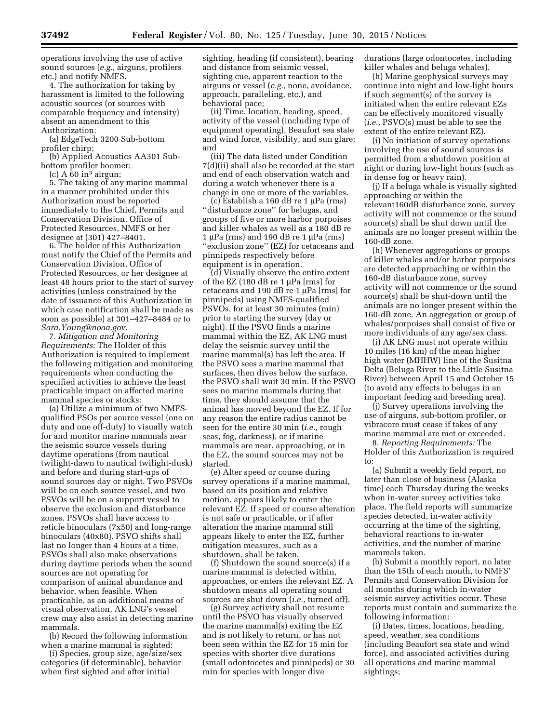operations involving the use of active sound sources (*e.g.,* airguns, profilers etc.) and notify NMFS.

4. The authorization for taking by harassment is limited to the following acoustic sources (or sources with comparable frequency and intensity) absent an amendment to this Authorization:

(a) EdgeTech 3200 Sub-bottom profiler chirp;

(b) Applied Acoustics AA301 Subbottom profiler boomer;

 $(c)$  A  $60$  in<sup>3</sup> airgun;

5. The taking of any marine mammal in a manner prohibited under this Authorization must be reported immediately to the Chief, Permits and Conservation Division, Office of Protected Resources, NMFS or her designee at (301) 427–8401.

6. The holder of this Authorization must notify the Chief of the Permits and Conservation Division, Office of Protected Resources, or her designee at least 48 hours prior to the start of survey activities (unless constrained by the date of issuance of this Authorization in which case notification shall be made as soon as possible) at 301–427–8484 or to *[Sara.Young@noaa.gov.](mailto:Sara.Young@noaa.gov)* 

7. *Mitigation and Monitoring Requirements:* The Holder of this Authorization is required to implement the following mitigation and monitoring requirements when conducting the specified activities to achieve the least practicable impact on affected marine mammal species or stocks:

(a) Utilize a minimum of two NMFSqualified PSOs per source vessel (one on duty and one off-duty) to visually watch for and monitor marine mammals near the seismic source vessels during daytime operations (from nautical twilight-dawn to nautical twilight-dusk) and before and during start-ups of sound sources day or night. Two PSVOs will be on each source vessel, and two PSVOs will be on a support vessel to observe the exclusion and disturbance zones. PSVOs shall have access to reticle binoculars (7x50) and long-range binoculars (40x80). PSVO shifts shall last no longer than 4 hours at a time. PSVOs shall also make observations during daytime periods when the sound sources are not operating for comparison of animal abundance and behavior, when feasible. When practicable, as an additional means of visual observation, AK LNG's vessel crew may also assist in detecting marine mammals.

(b) Record the following information when a marine mammal is sighted:

(i) Species, group size, age/size/sex categories (if determinable), behavior when first sighted and after initial

sighting, heading (if consistent), bearing and distance from seismic vessel, sighting cue, apparent reaction to the airguns or vessel (*e.g.,* none, avoidance, approach, paralleling, etc.), and behavioral pace;

(ii) Time, location, heading, speed, activity of the vessel (including type of equipment operating), Beaufort sea state and wind force, visibility, and sun glare; and

(iii) The data listed under Condition 7(d)(ii) shall also be recorded at the start and end of each observation watch and during a watch whenever there is a change in one or more of the variables.

(c) Establish a 160 dB re 1  $\mu$ Pa (rms) ''disturbance zone'' for belugas, and groups of five or more harbor porpoises and killer whales as well as a 180 dB re 1  $\mu$ Pa (rms) and 190 dB re 1  $\mu$ Pa (rms) ''exclusion zone'' (EZ) for cetaceans and pinnipeds respectively before equipment is in operation.

(d) Visually observe the entire extent of the EZ (180 dB re 1  $\mu$ Pa [rms] for cetaceans and 190 dB re 1  $\mu$ Pa [rms] for pinnipeds) using NMFS-qualified PSVOs, for at least 30 minutes (min) prior to starting the survey (day or night). If the PSVO finds a marine mammal within the EZ, AK LNG must delay the seismic survey until the marine mammal(s) has left the area. If the PSVO sees a marine mammal that surfaces, then dives below the surface, the PSVO shall wait 30 min. If the PSVO sees no marine mammals during that time, they should assume that the animal has moved beyond the EZ. If for any reason the entire radius cannot be seen for the entire 30 min (*i.e.,* rough seas, fog, darkness), or if marine mammals are near, approaching, or in the EZ, the sound sources may not be started.

(e) Alter speed or course during survey operations if a marine mammal, based on its position and relative motion, appears likely to enter the relevant EZ. If speed or course alteration is not safe or practicable, or if after alteration the marine mammal still appears likely to enter the EZ, further mitigation measures, such as a shutdown, shall be taken.

(f) Shutdown the sound source(s) if a marine mammal is detected within, approaches, or enters the relevant EZ. A shutdown means all operating sound sources are shut down (*i.e.,* turned off).

(g) Survey activity shall not resume until the PSVO has visually observed the marine mammal(s) exiting the EZ and is not likely to return, or has not been seen within the EZ for 15 min for species with shorter dive durations (small odontocetes and pinnipeds) or 30 min for species with longer dive

durations (large odontocetes, including killer whales and beluga whales).

(h) Marine geophysical surveys may continue into night and low-light hours if such segment(s) of the survey is initiated when the entire relevant EZs can be effectively monitored visually (*i.e.,* PSVO(s) must be able to see the extent of the entire relevant EZ).

(i) No initiation of survey operations involving the use of sound sources is permitted from a shutdown position at night or during low-light hours (such as in dense fog or heavy rain).

(j) If a beluga whale is visually sighted approaching or within the relevant160dB disturbance zone, survey activity will not commence or the sound source(s) shall be shut down until the animals are no longer present within the 160-dB zone.

(h) Whenever aggregations or groups of killer whales and/or harbor porpoises are detected approaching or within the 160-dB disturbance zone, survey activity will not commence or the sound source(s) shall be shut-down until the animals are no longer present within the 160-dB zone. An aggregation or group of whales/porpoises shall consist of five or more individuals of any age/sex class.

(i) AK LNG must not operate within 10 miles (16 km) of the mean higher high water (MHHW) line of the Susitna Delta (Beluga River to the Little Susitna River) between April 15 and October 15 (to avoid any effects to belugas in an important feeding and breeding area).

(j) Survey operations involving the use of airguns, sub-bottom profiler, or vibracore must cease if takes of any marine mammal are met or exceeded.

8. *Reporting Requirements:* The Holder of this Authorization is required to:

(a) Submit a weekly field report, no later than close of business (Alaska time) each Thursday during the weeks when in-water survey activities take place. The field reports will summarize species detected, in-water activity occurring at the time of the sighting, behavioral reactions to in-water activities, and the number of marine mammals taken.

(b) Submit a monthly report, no later than the 15th of each month, to NMFS' Permits and Conservation Division for all months during which in-water seismic survey activities occur. These reports must contain and summarize the following information:

(i) Dates, times, locations, heading, speed, weather, sea conditions (including Beaufort sea state and wind force), and associated activities during all operations and marine mammal sightings;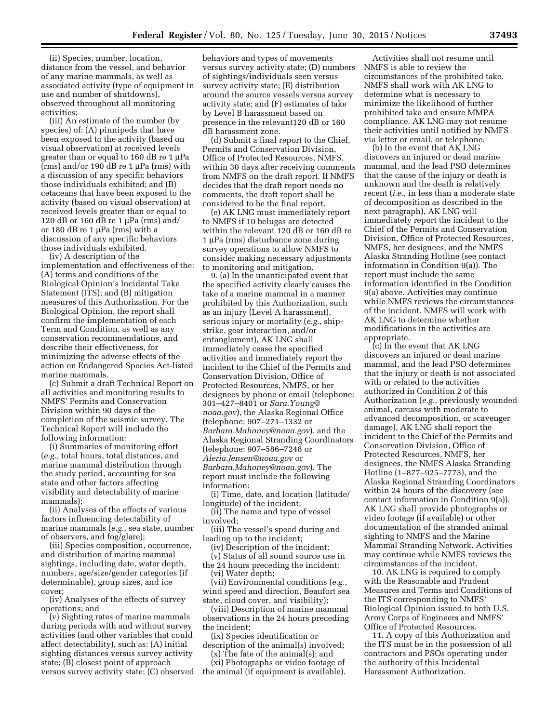(ii) Species, number, location, distance from the vessel, and behavior of any marine mammals, as well as associated activity (type of equipment in use and number of shutdowns), observed throughout all monitoring activities;

(iii) An estimate of the number (by species) of: (A) pinnipeds that have been exposed to the activity (based on visual observation) at received levels greater than or equal to 160 dB re  $1 \mu Pa$  $(rms)$  and/or 190 dB re 1  $\mu$ Pa (rms) with a discussion of any specific behaviors those individuals exhibited; and (B) cetaceans that have been exposed to the activity (based on visual observation) at received levels greater than or equal to 120 dB or 160 dB re 1  $\mu$ Pa (rms) and/ or 180 dB re 1  $\mu$ Pa (rms) with a discussion of any specific behaviors those individuals exhibited.

(iv) A description of the implementation and effectiveness of the: (A) terms and conditions of the Biological Opinion's Incidental Take Statement (ITS); and (B) mitigation measures of this Authorization. For the Biological Opinion, the report shall confirm the implementation of each Term and Condition, as well as any conservation recommendations, and describe their effectiveness, for minimizing the adverse effects of the action on Endangered Species Act-listed marine mammals.

(c) Submit a draft Technical Report on all activities and monitoring results to NMFS' Permits and Conservation Division within 90 days of the completion of the seismic survey. The Technical Report will include the following information:

(i) Summaries of monitoring effort (*e.g.,* total hours, total distances, and marine mammal distribution through the study period, accounting for sea state and other factors affecting visibility and detectability of marine mammals);

(ii) Analyses of the effects of various factors influencing detectability of marine mammals (*e.g.,* sea state, number of observers, and fog/glare);

(iii) Species composition, occurrence, and distribution of marine mammal sightings, including date, water depth, numbers, age/size/gender categories (if determinable), group sizes, and ice cover;

(iv) Analyses of the effects of survey operations; and

(v) Sighting rates of marine mammals during periods with and without survey activities (and other variables that could affect detectability), such as: (A) initial sighting distances versus survey activity state; (B) closest point of approach versus survey activity state; (C) observed

behaviors and types of movements versus survey activity state; (D) numbers of sightings/individuals seen versus survey activity state; (E) distribution around the source vessels versus survey activity state; and (F) estimates of take by Level B harassment based on presence in the relevant120 dB or 160 dB harassment zone.

(d) Submit a final report to the Chief, Permits and Conservation Division, Office of Protected Resources, NMFS, within 30 days after receiving comments from NMFS on the draft report. If NMFS decides that the draft report needs no comments, the draft report shall be considered to be the final report.

(e) AK LNG must immediately report to NMFS if 10 belugas are detected within the relevant 120 dB or 160 dB re  $1 \mu Pa$  (rms) disturbance zone during survey operations to allow NMFS to consider making necessary adjustments to monitoring and mitigation.

9. (a) In the unanticipated event that the specified activity clearly causes the take of a marine mammal in a manner prohibited by this Authorization, such as an injury (Level A harassment), serious injury or mortality (*e.g.,* shipstrike, gear interaction, and/or entanglement), AK LNG shall immediately cease the specified activities and immediately report the incident to the Chief of the Permits and Conservation Division, Office of Protected Resources, NMFS, or her designees by phone or email (telephone: 301–427–8401 or *[Sara.Young@](mailto:Sara.Young@noaa.gov) [noaa.gov](mailto:Sara.Young@noaa.gov)*), the Alaska Regional Office (telephone: 907–271–1332 or *[Barbara.Mahoney@noaa.gov](mailto:Barbara.Mahoney@noaa.gov)*), and the Alaska Regional Stranding Coordinators (telephone: 907–586–7248 or *[Aleria.Jensen@noaa.gov](mailto:Aleria.Jensen@noaa.gov)* or *[Barbara.Mahoney@noaa.gov](mailto:Barbara.Mahoney@noaa.gov)*). The report must include the following information:

(i) Time, date, and location (latitude/ longitude) of the incident;

(ii) The name and type of vessel involved;

- (iii) The vessel's speed during and leading up to the incident;
- (iv) Description of the incident; (v) Status of all sound source use in

the 24 hours preceding the incident; (vi) Water depth;

(vii) Environmental conditions (*e.g.,*  wind speed and direction, Beaufort sea state, cloud cover, and visibility);

(viii) Description of marine mammal observations in the 24 hours preceding the incident;

(ix) Species identification or description of the animal(s) involved;

(x) The fate of the animal(s); and

(xi) Photographs or video footage of the animal (if equipment is available).

Activities shall not resume until NMFS is able to review the circumstances of the prohibited take. NMFS shall work with AK LNG to determine what is necessary to minimize the likelihood of further prohibited take and ensure MMPA compliance. AK LNG may not resume their activities until notified by NMFS via letter or email, or telephone.

(b) In the event that AK LNG discovers an injured or dead marine mammal, and the lead PSO determines that the cause of the injury or death is unknown and the death is relatively recent (*i.e.,* in less than a moderate state of decomposition as described in the next paragraph), AK LNG will immediately report the incident to the Chief of the Permits and Conservation Division, Office of Protected Resources, NMFS, her designees, and the NMFS Alaska Stranding Hotline (see contact information in Condition 9(a)). The report must include the same information identified in the Condition 9(a) above. Activities may continue while NMFS reviews the circumstances of the incident. NMFS will work with AK LNG to determine whether modifications in the activities are appropriate.

(c) In the event that AK LNG discovers an injured or dead marine mammal, and the lead PSO determines that the injury or death is not associated with or related to the activities authorized in Condition 2 of this Authorization (*e.g.,* previously wounded animal, carcass with moderate to advanced decomposition, or scavenger damage), AK LNG shall report the incident to the Chief of the Permits and Conservation Division, Office of Protected Resources, NMFS, her designees, the NMFS Alaska Stranding Hotline (1–877–925–7773), and the Alaska Regional Stranding Coordinators within 24 hours of the discovery (see contact information in Condition 9(a)). AK LNG shall provide photographs or video footage (if available) or other documentation of the stranded animal sighting to NMFS and the Marine Mammal Stranding Network. Activities may continue while NMFS reviews the circumstances of the incident.

10. AK LNG is required to comply with the Reasonable and Prudent Measures and Terms and Conditions of the ITS corresponding to NMFS' Biological Opinion issued to both U.S. Army Corps of Engineers and NMFS' Office of Protected Resources.

11. A copy of this Authorization and the ITS must be in the possession of all contractors and PSOs operating under the authority of this Incidental Harassment Authorization.